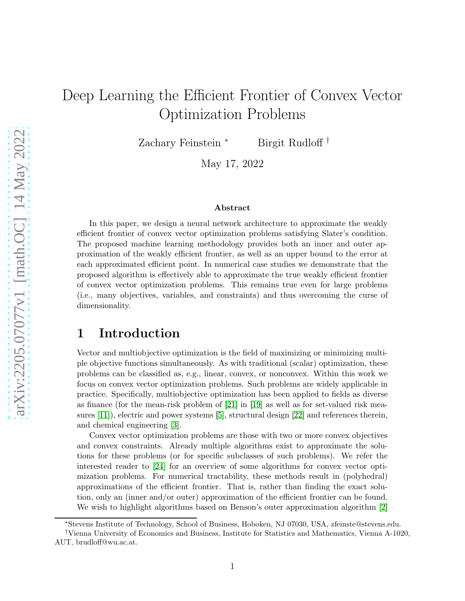# Deep Learning the Efficient Frontier of Convex Vector Optimization Problems

Zachary Feinstein <sup>∗</sup> Birgit Rudloff †

May 17, 2022

#### Abstract

In this paper, we design a neural network architecture to approximate the weakly efficient frontier of convex vector optimization problems satisfying Slater's condition. The proposed machine learning methodology provides both an inner and outer approximation of the weakly efficient frontier, as well as an upper bound to the error at each approximated efficient point. In numerical case studies we demonstrate that the proposed algorithm is effectively able to approximate the true weakly efficient frontier of convex vector optimization problems. This remains true even for large problems (i.e., many objectives, variables, and constraints) and thus overcoming the curse of dimensionality.

## 1 Introduction

Vector and multiobjective optimization is the field of maximizing or minimizing multiple objective functions simultaneously. As with traditional (scalar) optimization, these problems can be classified as, e.g., linear, convex, or nonconvex. Within this work we focus on convex vector optimization problems. Such problems are widely applicable in practice. Specifically, multiobjective optimization has been applied to fields as diverse as finance (for the mean-risk problem of [\[21\]](#page-26-0) in [\[19\]](#page-26-1) as well as for set-valued risk measures [\[11\]](#page-25-0)), electric and power systems [\[5\]](#page-25-1), structural design [\[22\]](#page-26-2) and references therein, and chemical engineering [\[3\]](#page-25-2).

Convex vector optimization problems are those with two or more convex objectives and convex constraints. Already multiple algorithms exist to approximate the solutions for these problems (or for specific subclasses of such problems). We refer the interested reader to [\[24\]](#page-26-3) for an overview of some algorithms for convex vector optimization problems. For numerical tractability, these methods result in (polyhedral) approximations of the efficient frontier. That is, rather than finding the exact solution, only an (inner and/or outer) approximation of the efficient frontier can be found. We wish to highlight algorithms based on Benson's outer approximation algorithm [\[2\]](#page-25-3)

<sup>∗</sup>Stevens Institute of Technology, School of Business, Hoboken, NJ 07030, USA, zfeinste@stevens.edu.

<sup>†</sup>Vienna University of Economics and Business, Institute for Statistics and Mathematics, Vienna A-1020, AUT, brudloff@wu.ac.at.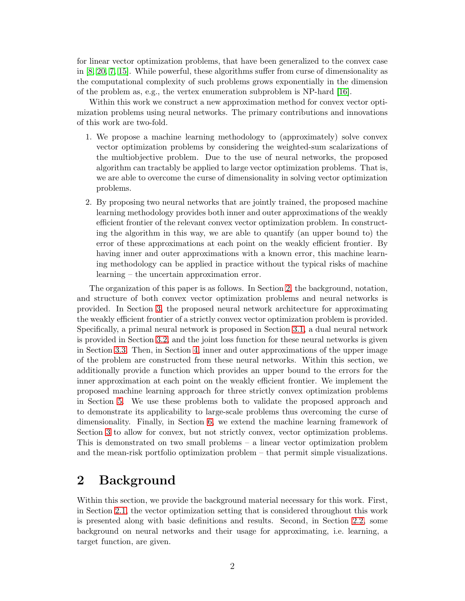for linear vector optimization problems, that have been generalized to the convex case in [\[8,](#page-25-4) [20,](#page-26-4) [7,](#page-25-5) [15\]](#page-26-5). While powerful, these algorithms suffer from curse of dimensionality as the computational complexity of such problems grows exponentially in the dimension of the problem as, e.g., the vertex enumeration subproblem is NP-hard [\[16\]](#page-26-6).

Within this work we construct a new approximation method for convex vector optimization problems using neural networks. The primary contributions and innovations of this work are two-fold.

- 1. We propose a machine learning methodology to (approximately) solve convex vector optimization problems by considering the weighted-sum scalarizations of the multiobjective problem. Due to the use of neural networks, the proposed algorithm can tractably be applied to large vector optimization problems. That is, we are able to overcome the curse of dimensionality in solving vector optimization problems.
- 2. By proposing two neural networks that are jointly trained, the proposed machine learning methodology provides both inner and outer approximations of the weakly efficient frontier of the relevant convex vector optimization problem. In constructing the algorithm in this way, we are able to quantify (an upper bound to) the error of these approximations at each point on the weakly efficient frontier. By having inner and outer approximations with a known error, this machine learning methodology can be applied in practice without the typical risks of machine learning – the uncertain approximation error.

The organization of this paper is as follows. In Section [2,](#page-1-0) the background, notation, and structure of both convex vector optimization problems and neural networks is provided. In Section [3,](#page-6-0) the proposed neural network architecture for approximating the weakly efficient frontier of a strictly convex vector optimization problem is provided. Specifically, a primal neural network is proposed in Section [3.1,](#page-6-1) a dual neural network is provided in Section [3.2,](#page-7-0) and the joint loss function for these neural networks is given in Section [3.3.](#page-8-0) Then, in Section [4,](#page-9-0) inner and outer approximations of the upper image of the problem are constructed from these neural networks. Within this section, we additionally provide a function which provides an upper bound to the errors for the inner approximation at each point on the weakly efficient frontier. We implement the proposed machine learning approach for three strictly convex optimization problems in Section [5.](#page-11-0) We use these problems both to validate the proposed approach and to demonstrate its applicability to large-scale problems thus overcoming the curse of dimensionality. Finally, in Section [6,](#page-16-0) we extend the machine learning framework of Section [3](#page-6-0) to allow for convex, but not strictly convex, vector optimization problems. This is demonstrated on two small problems – a linear vector optimization problem and the mean-risk portfolio optimization problem – that permit simple visualizations.

# <span id="page-1-0"></span>2 Background

Within this section, we provide the background material necessary for this work. First, in Section [2.1,](#page-2-0) the vector optimization setting that is considered throughout this work is presented along with basic definitions and results. Second, in Section [2.2,](#page-4-0) some background on neural networks and their usage for approximating, i.e. learning, a target function, are given.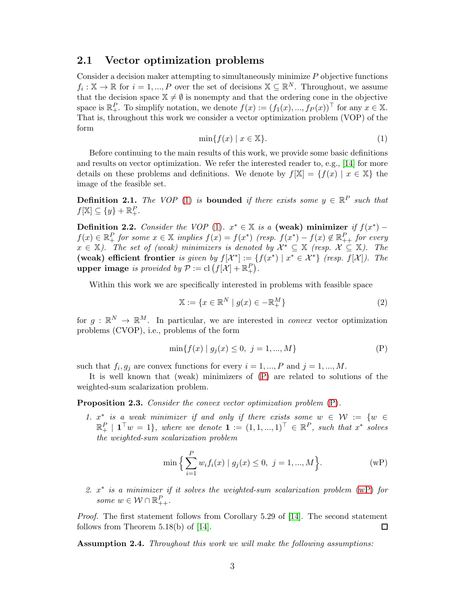### <span id="page-2-0"></span>2.1 Vector optimization problems

Consider a decision maker attempting to simultaneously minimize  $P$  objective functions  $f_i: \mathbb{X} \to \mathbb{R}$  for  $i = 1, ..., P$  over the set of decisions  $\mathbb{X} \subseteq \mathbb{R}^N$ . Throughout, we assume that the decision space  $\mathbb{X} \neq \emptyset$  is nonempty and that the ordering cone in the objective space is  $\mathbb{R}_+^P$ . To simplify notation, we denote  $f(x) := (f_1(x), ..., f_P(x))^\top$  for any  $x \in \mathbb{X}$ . That is, throughout this work we consider a vector optimization problem (VOP) of the form

<span id="page-2-1"></span>
$$
\min\{f(x) \mid x \in \mathbb{X}\}.\tag{1}
$$

Before continuing to the main results of this work, we provide some basic definitions and results on vector optimization. We refer the interested reader to, e.g., [\[14\]](#page-25-6) for more details on these problems and definitions. We denote by  $f[\mathbb{X}] = \{f(x) | x \in \mathbb{X}\}\$ the image of the feasible set.

**Definition 2.1.** The VOP [\(1\)](#page-2-1) is **bounded** if there exists some  $y \in \mathbb{R}^P$  such that  $f[\mathbb{X}] \subseteq \{y\} + \mathbb{R}_{+}^{P}.$ 

Definition 2.2. Consider the VOP [\(1\)](#page-2-1).  $x^* \in \mathbb{X}$  is a (weak) minimizer if  $f(x^*)$  –  $f(x) \in \mathbb{R}_+^P$  for some  $x \in \mathbb{X}$  implies  $f(x) = f(x^*)$  (resp.  $f(x^*) - f(x) \notin \mathbb{R}_{++}^P$  for every  $x \in \mathbb{X}$ ). The set of (weak) minimizers is denoted by  $\mathcal{X}^* \subseteq \mathbb{X}$  (resp.  $\mathcal{X} \subseteq \mathbb{X}$ ). The (weak) efficient frontier is given by  $f[\mathcal{X}^*] := \{f(x^*) | x^* \in \mathcal{X}^*\}$  (resp.  $f[\mathcal{X}]$ ). The upper image is provided by  $\mathcal{P} := \text{cl}(f[\mathcal{X}] + \mathbb{R}_+^P)$ .

Within this work we are specifically interested in problems with feasible space

<span id="page-2-2"></span>
$$
\mathbb{X} := \{ x \in \mathbb{R}^N \mid g(x) \in -\mathbb{R}_+^M \} \tag{2}
$$

for  $g: \mathbb{R}^N \to \mathbb{R}^M$ . In particular, we are interested in *convex* vector optimization problems (CVOP), i.e., problems of the form

$$
\min\{f(x) \mid g_j(x) \le 0, \ j = 1, ..., M\} \tag{P}
$$

such that  $f_i, g_j$  are convex functions for every  $i = 1, ..., P$  and  $j = 1, ..., M$ .

It is well known that (weak) minimizers of [\(P\)](#page-2-2) are related to solutions of the weighted-sum scalarization problem.

<span id="page-2-5"></span>Proposition 2.3. Consider the convex vector optimization problem  $(P)$ .

1.  $x^*$  is a weak minimizer if and only if there exists some  $w \in \mathcal{W} := \{w \in$  $\mathbb{R}^P_+$  |  $\mathbf{1}^\top w = 1$ }, where we denote  $\mathbf{1} := (1, 1, ..., 1)^\top \in \mathbb{R}^P$ , such that  $x^*$  solves the weighted-sum scalarization problem

<span id="page-2-3"></span>
$$
\min \Big\{ \sum_{i=1}^{P} w_i f_i(x) \mid g_j(x) \le 0, \ j = 1, ..., M \Big\}.
$$
 (wP)

2.  $x^*$  is a minimizer if it solves the weighted-sum scalarization problem [\(wP\)](#page-2-3) for some  $w \in \mathcal{W} \cap \mathbb{R}_{++}^P$ .

Proof. The first statement follows from Corollary 5.29 of [\[14\]](#page-25-6). The second statement follows from Theorem 5.18(b) of [\[14\]](#page-25-6). □

<span id="page-2-4"></span>Assumption 2.4. Throughout this work we will make the following assumptions: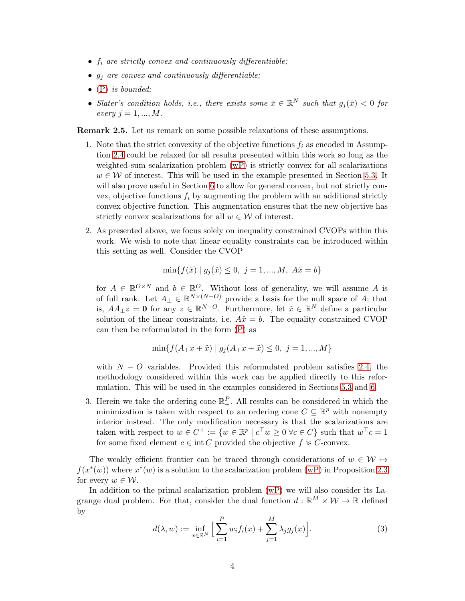- $f_i$  are strictly convex and continuously differentiable;
- $g_j$  are convex and continuously differentiable;
- $\bullet$  [\(P\)](#page-2-2) is bounded:
- Slater's condition holds, i.e., there exists some  $\bar{x} \in \mathbb{R}^N$  such that  $g_j(\bar{x}) < 0$  for every  $i = 1, ..., M$ .

<span id="page-3-3"></span><span id="page-3-0"></span>Remark 2.5. Let us remark on some possible relaxations of these assumptions.

- 1. Note that the strict convexity of the objective functions  $f_i$  as encoded in Assumption [2.4](#page-2-4) could be relaxed for all results presented within this work so long as the weighted-sum scalarization problem [\(wP\)](#page-2-3) is strictly convex for all scalarizations  $w \in \mathcal{W}$  of interest. This will be used in the example presented in Section [5.3.](#page-15-0) It will also prove useful in Section [6](#page-16-0) to allow for general convex, but not strictly convex, objective functions  $f_i$  by augmenting the problem with an additional strictly convex objective function. This augmentation ensures that the new objective has strictly convex scalarizations for all  $w \in \mathcal{W}$  of interest.
- <span id="page-3-1"></span>2. As presented above, we focus solely on inequality constrained CVOPs within this work. We wish to note that linear equality constraints can be introduced within this setting as well. Consider the CVOP

$$
\min\{f(\hat{x}) \mid g_j(\hat{x}) \le 0, \ j = 1, ..., M, \ A\hat{x} = b\}
$$

for  $A \in \mathbb{R}^{O \times N}$  and  $b \in \mathbb{R}^O$ . Without loss of generality, we will assume A is of full rank. Let  $A_{\perp} \in \mathbb{R}^{N \times (N-O)}$  provide a basis for the null space of A; that is,  $AA_{\perp}z = 0$  for any  $z \in \mathbb{R}^{N-O}$ . Furthermore, let  $\tilde{x} \in \mathbb{R}^N$  define a particular solution of the linear constraints, i.e,  $A\tilde{x} = b$ . The equality constrained CVOP can then be reformulated in the form [\(P\)](#page-2-2) as

$$
\min\{f(A_{\perp}x + \tilde{x}) \mid g_j(A_{\perp}x + \tilde{x}) \le 0, \ j = 1, ..., M\}
$$

with  $N - O$  variables. Provided this reformulated problem satisfies [2.4,](#page-2-4) the methodology considered within this work can be applied directly to this reformulation. This will be used in the examples considered in Sections [5.3](#page-15-0) and [6.](#page-16-0)

3. Herein we take the ordering cone  $\mathbb{R}^P_+$ . All results can be considered in which the minimization is taken with respect to an ordering cone  $C \subseteq \mathbb{R}^p$  with nonempty interior instead. The only modification necessary is that the scalarizations are taken with respect to  $w \in C^+ := \{w \in \mathbb{R}^p \mid c^\top w \geq 0 \; \forall c \in C\}$  such that  $w^\top c = 1$ for some fixed element  $c \in \text{int } C$  provided the objective f is C-convex.

The weakly efficient frontier can be traced through considerations of  $w \in \mathcal{W} \mapsto$  $f(x^*(w))$  where  $x^*(w)$  is a solution to the scalarization problem [\(wP\)](#page-2-3) in Proposition [2.3](#page-2-5) for every  $w \in \mathcal{W}$ .

In addition to the primal scalarization problem [\(wP\)](#page-2-3) we will also consider its Lagrange dual problem. For that, consider the dual function  $d : \mathbb{R}^M \times \mathcal{W} \to \mathbb{R}$  defined by

<span id="page-3-2"></span>
$$
d(\lambda, w) := \inf_{x \in \mathbb{R}^N} \left[ \sum_{i=1}^P w_i f_i(x) + \sum_{j=1}^M \lambda_j g_j(x) \right].
$$
 (3)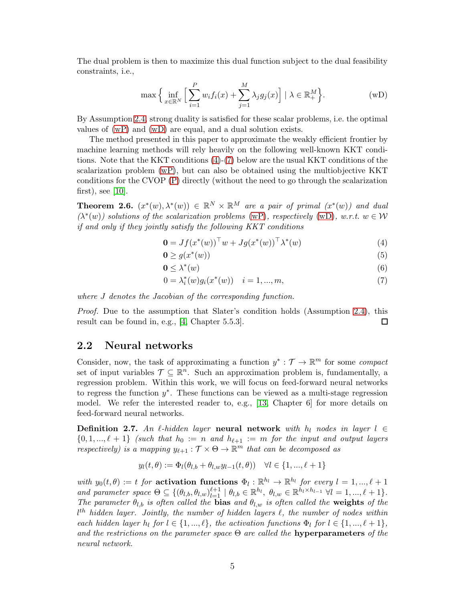The dual problem is then to maximize this dual function subject to the dual feasibility constraints, i.e.,

<span id="page-4-1"></span>
$$
\max\Big\{\inf_{x\in\mathbb{R}^N}\Big[\sum_{i=1}^P w_i f_i(x) + \sum_{j=1}^M \lambda_j g_j(x)\Big] \mid \lambda \in \mathbb{R}^M_+\Big\}.
$$
 (wD)

By Assumption [2.4,](#page-2-4) strong duality is satisfied for these scalar problems, i.e. the optimal values of [\(wP\)](#page-2-3) and [\(wD\)](#page-4-1) are equal, and a dual solution exists.

The method presented in this paper to approximate the weakly efficient frontier by machine learning methods will rely heavily on the following well-known KKT conditions. Note that the KKT conditions [\(4\)](#page-4-2)-[\(7\)](#page-4-3) below are the usual KKT conditions of the scalarization problem [\(wP\)](#page-2-3), but can also be obtained using the multiobjective KKT conditions for the CVOP [\(P\)](#page-2-2) directly (without the need to go through the scalarization first), see  $[10]$ .

<span id="page-4-6"></span>**Theorem 2.6.**  $(x^*(w), \lambda^*(w)) \in \mathbb{R}^N \times \mathbb{R}^M$  are a pair of primal  $(x^*(w))$  and dual  $(\lambda^*(w))$  solutions of the scalarization problems [\(wP\)](#page-2-3), respectively [\(wD\)](#page-4-1), w.r.t.  $w \in \mathcal{W}$ if and only if they jointly satisfy the following KKT conditions

<span id="page-4-2"></span>
$$
\mathbf{0} = Jf(x^*(w))^{\top} w + Jg(x^*(w))^{\top} \lambda^*(w) \tag{4}
$$

<span id="page-4-4"></span>
$$
\mathbf{0} \ge g(x^*(w))\tag{5}
$$

<span id="page-4-5"></span>
$$
\mathbf{0} \le \lambda^*(w) \tag{6}
$$

<span id="page-4-3"></span>
$$
0 = \lambda_i^*(w) g_i(x^*(w)) \quad i = 1, ..., m,
$$
\n(7)

where J denotes the Jacobian of the corresponding function.

Proof. Due to the assumption that Slater's condition holds (Assumption [2.4\)](#page-2-4), this result can be found in, e.g., [\[4,](#page-25-8) Chapter 5.5.3].  $\Box$ 

### <span id="page-4-0"></span>2.2 Neural networks

Consider, now, the task of approximating a function  $y^* : \mathcal{T} \to \mathbb{R}^m$  for some *compact* set of input variables  $\mathcal{T} \subseteq \mathbb{R}^n$ . Such an approximation problem is, fundamentally, a regression problem. Within this work, we will focus on feed-forward neural networks to regress the function y ∗ . These functions can be viewed as a multi-stage regression model. We refer the interested reader to, e.g., [\[13,](#page-25-9) Chapter 6] for more details on feed-forward neural networks.

**Definition 2.7.** An  $\ell$ -hidden layer **neural network** with  $h_l$  nodes in layer  $l \in$  ${0, 1, ..., \ell + 1}$  (such that  $h_0 := n$  and  $h_{\ell+1} := m$  for the input and output layers respectively) is a mapping  $y_{\ell+1} : \mathcal{T} \times \Theta \to \mathbb{R}^m$  that can be decomposed as

$$
y_l(t, \theta) := \Phi_l(\theta_{l,b} + \theta_{l,w} y_{l-1}(t, \theta)) \quad \forall l \in \{1, ..., \ell + 1\}
$$

with  $y_0(t, \theta) := t$  for activation functions  $\Phi_l : \mathbb{R}^{h_l} \to \mathbb{R}^{h_l}$  for every  $l = 1, ..., \ell + 1$ and parameter space  $\Theta \subseteq \{(\theta_{l,b}, \theta_{l,w})_{l=1}^{\ell+1} \mid \theta_{l,b} \in \mathbb{R}^{h_l}, \ \theta_{l,w} \in \mathbb{R}^{h_l \times h_{l-1}} \ \forall l=1,...,\ell+1\}.$ The parameter  $\theta_{l,b}$  is often called the **bias** and  $\theta_{l,w}$  is often called the **weights** of the  $l<sup>th</sup>$  hidden layer. Jointly, the number of hidden layers  $\ell$ , the number of nodes within each hidden layer  $h_l$  for  $l \in \{1, ..., \ell\}$ , the activation functions  $\Phi_l$  for  $l \in \{1, ..., \ell + 1\}$ , and the restrictions on the parameter space  $\Theta$  are called the **hyperparameters** of the neural network.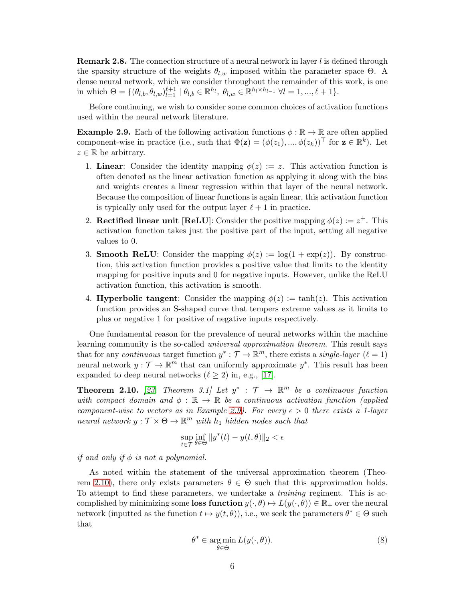**Remark 2.8.** The connection structure of a neural network in layer  $l$  is defined through the sparsity structure of the weights  $\theta_{l,w}$  imposed within the parameter space  $\Theta$ . A dense neural network, which we consider throughout the remainder of this work, is one in which  $\Theta = \{(\theta_{l,b}, \theta_{l,w})_{l=1}^{\ell+1} \mid \theta_{l,b} \in \mathbb{R}^{h_l}, \ \theta_{l,w} \in \mathbb{R}^{h_l \times h_{l-1}} \ \forall l = 1, ..., \ell+1\}.$ 

Before continuing, we wish to consider some common choices of activation functions used within the neural network literature.

<span id="page-5-0"></span>**Example 2.9.** Each of the following activation functions  $\phi : \mathbb{R} \to \mathbb{R}$  are often applied component-wise in practice (i.e., such that  $\Phi(\mathbf{z}) = (\phi(z_1), ..., \phi(z_k))^{\top}$  for  $\mathbf{z} \in \mathbb{R}^k$ ). Let  $z \in \mathbb{R}$  be arbitrary.

- 1. Linear: Consider the identity mapping  $\phi(z) := z$ . This activation function is often denoted as the linear activation function as applying it along with the bias and weights creates a linear regression within that layer of the neural network. Because the composition of linear functions is again linear, this activation function is typically only used for the output layer  $\ell + 1$  in practice.
- 2. Rectified linear unit [ReLU]: Consider the positive mapping  $\phi(z) := z^+$ . This activation function takes just the positive part of the input, setting all negative values to 0.
- 3. **Smooth ReLU**: Consider the mapping  $\phi(z) := \log(1 + \exp(z))$ . By construction, this activation function provides a positive value that limits to the identity mapping for positive inputs and 0 for negative inputs. However, unlike the ReLU activation function, this activation is smooth.
- 4. **Hyperbolic tangent**: Consider the mapping  $\phi(z) := \tanh(z)$ . This activation function provides an S-shaped curve that tempers extreme values as it limits to plus or negative 1 for positive of negative inputs respectively.

One fundamental reason for the prevalence of neural networks within the machine learning community is the so-called universal approximation theorem. This result says that for any continuous target function  $y^* : \mathcal{T} \to \mathbb{R}^m$ , there exists a single-layer  $(\ell = 1)$ neural network  $y: \mathcal{T} \to \mathbb{R}^m$  that can uniformly approximate  $y^*$ . This result has been expanded to deep neural networks ( $\ell \geq 2$ ) in, e.g., [\[17\]](#page-26-7).

<span id="page-5-1"></span>**Theorem 2.10.** [\[23,](#page-26-8) Theorem 3.1] Let  $y^*$  :  $\mathcal{T} \rightarrow \mathbb{R}^m$  be a continuous function with compact domain and  $\phi : \mathbb{R} \to \mathbb{R}$  be a continuous activation function (applied component-wise to vectors as in Example [2.9\)](#page-5-0). For every  $\epsilon > 0$  there exists a 1-layer neural network  $y: \mathcal{T} \times \Theta \to \mathbb{R}^m$  with  $h_1$  hidden nodes such that

$$
\sup_{t \in \mathcal{T}} \inf_{\theta \in \Theta} \|y^*(t) - y(t, \theta)\|_2 < \epsilon
$$

if and only if  $\phi$  is not a polynomial.

As noted within the statement of the universal approximation theorem (Theo-rem [2.10\)](#page-5-1), there only exists parameters  $\theta \in \Theta$  such that this approximation holds. To attempt to find these parameters, we undertake a training regiment. This is accomplished by minimizing some loss function  $y(\cdot, \theta) \mapsto L(y(\cdot, \theta)) \in \mathbb{R}_+$  over the neural network (inputted as the function  $t \mapsto y(t, \theta)$ ), i.e., we seek the parameters  $\theta^* \in \Theta$  such that

<span id="page-5-2"></span>
$$
\theta^* \in \underset{\theta \in \Theta}{\arg \min} L(y(\cdot, \theta)). \tag{8}
$$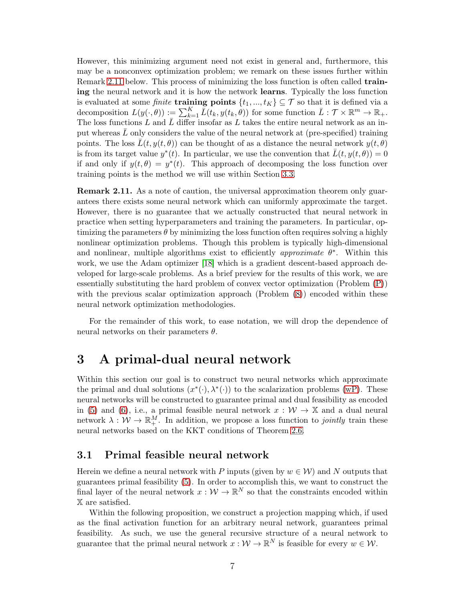However, this minimizing argument need not exist in general and, furthermore, this may be a nonconvex optimization problem; we remark on these issues further within Remark [2.11](#page-6-2) below. This process of minimizing the loss function is often called **train**ing the neural network and it is how the network learns. Typically the loss function is evaluated at some *finite* **training points**  $\{t_1, ..., t_K\} \subseteq \mathcal{T}$  so that it is defined via a decomposition  $L(y(\cdot,\theta)) := \sum_{k=1}^K \bar{L}(t_k, y(t_k, \theta))$  for some function  $\bar{L}: \mathcal{T} \times \mathbb{R}^m \to \mathbb{R}_+$ . The loss functions L and  $\overline{L}$  differ insofar as L takes the entire neural network as an input whereas  $\bar{L}$  only considers the value of the neural network at (pre-specified) training points. The loss  $L(t, y(t, \theta))$  can be thought of as a distance the neural network  $y(t, \theta)$ is from its target value  $y^*(t)$ . In particular, we use the convention that  $\bar{L}(t, y(t, \theta)) = 0$ if and only if  $y(t, \theta) = y^*(t)$ . This approach of decomposing the loss function over training points is the method we will use within Section [3.3.](#page-8-0)

<span id="page-6-2"></span>Remark 2.11. As a note of caution, the universal approximation theorem only guarantees there exists some neural network which can uniformly approximate the target. However, there is no guarantee that we actually constructed that neural network in practice when setting hyperparameters and training the parameters. In particular, optimizing the parameters  $\theta$  by minimizing the loss function often requires solving a highly nonlinear optimization problems. Though this problem is typically high-dimensional and nonlinear, multiple algorithms exist to efficiently *approximate*  $\theta^*$ . Within this work, we use the Adam optimizer [\[18\]](#page-26-9) which is a gradient descent-based approach developed for large-scale problems. As a brief preview for the results of this work, we are essentially substituting the hard problem of convex vector optimization (Problem [\(P\)](#page-2-2)) with the previous scalar optimization approach (Problem  $(8)$ ) encoded within these neural network optimization methodologies.

For the remainder of this work, to ease notation, we will drop the dependence of neural networks on their parameters  $\theta$ .

# <span id="page-6-0"></span>3 A primal-dual neural network

Within this section our goal is to construct two neural networks which approximate the primal and dual solutions  $(x^*(\cdot), \lambda^*(\cdot))$  to the scalarization problems [\(wP\)](#page-2-3). These neural networks will be constructed to guarantee primal and dual feasibility as encoded in [\(5\)](#page-4-4) and [\(6\)](#page-4-5), i.e., a primal feasible neural network  $x : \mathcal{W} \to \mathbb{X}$  and a dual neural network  $\lambda: \mathcal{W} \to \mathbb{R}^M_+$ . In addition, we propose a loss function to *jointly* train these neural networks based on the KKT conditions of Theorem [2.6.](#page-4-6)

### <span id="page-6-1"></span>3.1 Primal feasible neural network

Herein we define a neural network with P inputs (given by  $w \in \mathcal{W}$ ) and N outputs that guarantees primal feasibility [\(5\)](#page-4-4). In order to accomplish this, we want to construct the final layer of the neural network  $x: \mathcal{W} \to \mathbb{R}^N$  so that the constraints encoded within X are satisfied.

Within the following proposition, we construct a projection mapping which, if used as the final activation function for an arbitrary neural network, guarantees primal feasibility. As such, we use the general recursive structure of a neural network to guarantee that the primal neural network  $x: \mathcal{W} \to \mathbb{R}^N$  is feasible for every  $w \in \mathcal{W}$ .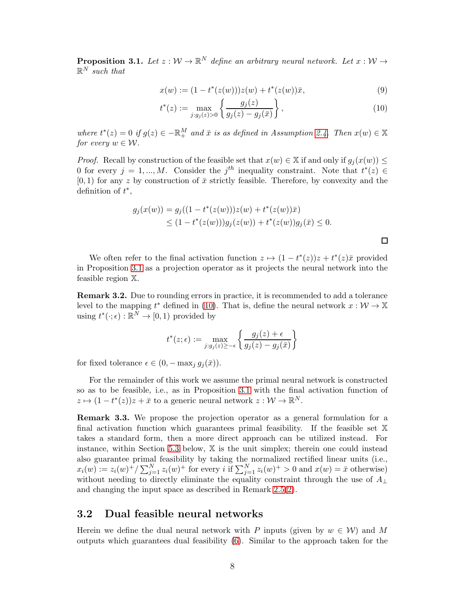<span id="page-7-1"></span>**Proposition 3.1.** Let  $z : \mathcal{W} \to \mathbb{R}^N$  define an arbitrary neural network. Let  $x : \mathcal{W} \to$  $\mathbb{R}^N$  such that

$$
x(w) := (1 - t^*(z(w)))z(w) + t^*(z(w))\bar{x},\tag{9}
$$

$$
t^*(z) := \max_{j:g_j(z)>0} \left\{ \frac{g_j(z)}{g_j(z) - g_j(\bar{x})} \right\},\tag{10}
$$

<span id="page-7-2"></span> $\Box$ 

where  $t^*(z) = 0$  if  $g(z) \in -\mathbb{R}^M_+$  and  $\bar{x}$  is as defined in Assumption [2.4.](#page-2-4) Then  $x(w) \in \mathbb{X}$ for every  $w \in \mathcal{W}$ .

*Proof.* Recall by construction of the feasible set that  $x(w) \in X$  if and only if  $g_i(x(w)) \leq$ 0 for every  $j = 1, ..., M$ . Consider the j<sup>th</sup> inequality constraint. Note that  $t^*(z) \in$  $[0, 1)$  for any z by construction of  $\bar{x}$  strictly feasible. Therefore, by convexity and the definition of  $t^*$ ,

$$
g_j(x(w)) = g_j((1 - t^*(z(w)))z(w) + t^*(z(w))\overline{x})
$$
  
\n
$$
\leq (1 - t^*(z(w)))g_j(z(w)) + t^*(z(w))g_j(\overline{x}) \leq 0.
$$

We often refer to the final activation function  $z \mapsto (1 - t^*(z))z + t^*(z)\overline{x}$  provided in Proposition [3.1](#page-7-1) as a projection operator as it projects the neural network into the feasible region X.

<span id="page-7-3"></span>Remark 3.2. Due to rounding errors in practice, it is recommended to add a tolerance level to the mapping  $t^*$  defined in [\(10\)](#page-7-2). That is, define the neural network  $x: \mathcal{W} \to \mathbb{X}$ using  $t^*(\cdot; \epsilon) : \mathbb{R}^N \to [0, 1)$  provided by

$$
t^*(z; \epsilon) := \max_{j:g_j(z) \geq -\epsilon} \left\{ \frac{g_j(z) + \epsilon}{g_j(z) - g_j(\bar{x})} \right\}
$$

for fixed tolerance  $\epsilon \in (0, -\max_j g_j(\bar{x})).$ 

For the remainder of this work we assume the primal neural network is constructed so as to be feasible, i.e., as in Proposition [3.1](#page-7-1) with the final activation function of  $z \mapsto (1 - t^*(z))z + \bar{x}$  to a generic neural network  $z : \mathcal{W} \to \mathbb{R}^N$ .

Remark 3.3. We propose the projection operator as a general formulation for a final activation function which guarantees primal feasibility. If the feasible set X takes a standard form, then a more direct approach can be utilized instead. For instance, within Section [5.3](#page-15-0) below, X is the unit simplex; therein one could instead also guarantee primal feasibility by taking the normalized rectified linear units (i.e.,  $x_i(w) := z_i(w)^+ / \sum_{j=1}^N z_i(w)^+$  for every i if  $\sum_{j=1}^N z_i(w)^+ > 0$  and  $x(w) = \overline{x}$  otherwise) without needing to directly eliminate the equality constraint through the use of  $A_{\perp}$ and changing the input space as described in Remark [2.5\(](#page-3-0)[2\)](#page-3-1).

### <span id="page-7-0"></span>3.2 Dual feasible neural networks

Herein we define the dual neural network with P inputs (given by  $w \in \mathcal{W}$ ) and M outputs which guarantees dual feasibility [\(6\)](#page-4-5). Similar to the approach taken for the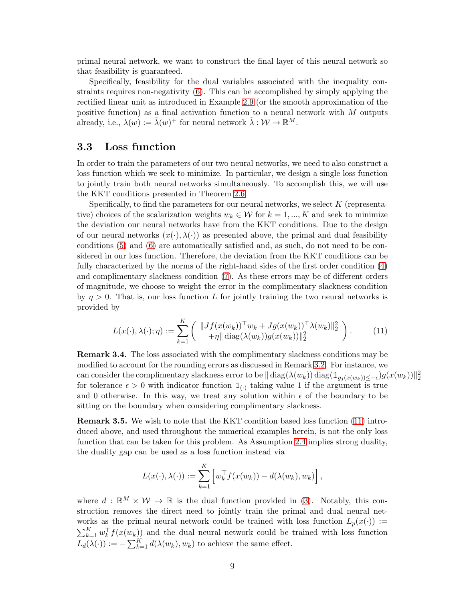primal neural network, we want to construct the final layer of this neural network so that feasibility is guaranteed.

Specifically, feasibility for the dual variables associated with the inequality constraints requires non-negativity [\(6\)](#page-4-5). This can be accomplished by simply applying the rectified linear unit as introduced in Example [2.9](#page-5-0) (or the smooth approximation of the positive function) as a final activation function to a neural network with  $M$  outputs already, i.e.,  $\lambda(w) := \tilde{\lambda}(w)^+$  for neural network  $\tilde{\lambda}: \mathcal{W} \to \mathbb{R}^M$ .

### <span id="page-8-0"></span>3.3 Loss function

In order to train the parameters of our two neural networks, we need to also construct a loss function which we seek to minimize. In particular, we design a single loss function to jointly train both neural networks simultaneously. To accomplish this, we will use the KKT conditions presented in Theorem [2.6.](#page-4-6)

Specifically, to find the parameters for our neural networks, we select  $K$  (representative) choices of the scalarization weights  $w_k \in \mathcal{W}$  for  $k = 1, ..., K$  and seek to minimize the deviation our neural networks have from the KKT conditions. Due to the design of our neural networks  $(x(\cdot), \lambda(\cdot))$  as presented above, the primal and dual feasibility conditions [\(5\)](#page-4-4) and [\(6\)](#page-4-5) are automatically satisfied and, as such, do not need to be considered in our loss function. Therefore, the deviation from the KKT conditions can be fully characterized by the norms of the right-hand sides of the first order condition [\(4\)](#page-4-2) and complimentary slackness condition [\(7\)](#page-4-3). As these errors may be of different orders of magnitude, we choose to weight the error in the complimentary slackness condition by  $\eta > 0$ . That is, our loss function L for jointly training the two neural networks is provided by

<span id="page-8-1"></span>
$$
L(x(\cdot), \lambda(\cdot); \eta) := \sum_{k=1}^{K} \left( \|Jf(x(w_k))^\top w_k + Jg(x(w_k))^\top \lambda(w_k) \|_2^2 \right).
$$
 (11)

Remark 3.4. The loss associated with the complimentary slackness conditions may be modified to account for the rounding errors as discussed in Remark [3.2.](#page-7-3) For instance, we can consider the complimentary slackness error to be  $\|\operatorname{diag}(\lambda(w_k))\operatorname{diag}(\mathbbm{1}_{g_j(x(w_k))\leq -\epsilon})g(x(w_k))\|_2^2$ for tolerance  $\epsilon > 0$  with indicator function  $\mathbb{1}_{(.)}$  taking value 1 if the argument is true and 0 otherwise. In this way, we treat any solution within  $\epsilon$  of the boundary to be sitting on the boundary when considering complimentary slackness.

Remark 3.5. We wish to note that the KKT condition based loss function [\(11\)](#page-8-1) introduced above, and used throughout the numerical examples herein, is not the only loss function that can be taken for this problem. As Assumption [2.4](#page-2-4) implies strong duality, the duality gap can be used as a loss function instead via

$$
L(x(\cdot), \lambda(\cdot)) := \sum_{k=1}^K \left[ w_k^\top f(x(w_k)) - d(\lambda(w_k), w_k) \right],
$$

where  $d : \mathbb{R}^M \times \mathcal{W} \to \mathbb{R}$  is the dual function provided in [\(3\)](#page-3-2). Notably, this construction removes the direct need to jointly train the primal and dual neural networks as the primal neural network could be trained with loss function  $L_p(x(\cdot)) :=$  $\sum_{k=1}^K w_k^{\top} f(x(w_k))$  and the dual neural network could be trained with loss function  $L_d(\lambda(\cdot)) := -\sum_{k=1}^K d(\lambda(w_k), w_k)$  to achieve the same effect.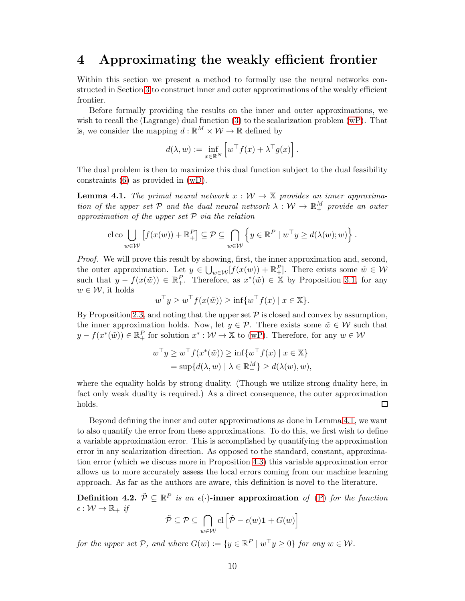### <span id="page-9-0"></span>4 Approximating the weakly efficient frontier

Within this section we present a method to formally use the neural networks constructed in Section [3](#page-6-0) to construct inner and outer approximations of the weakly efficient frontier.

Before formally providing the results on the inner and outer approximations, we wish to recall the (Lagrange) dual function  $(3)$  to the scalarization problem [\(wP\)](#page-2-3). That is, we consider the mapping  $d : \mathbb{R}^M \times \mathcal{W} \to \mathbb{R}$  defined by

$$
d(\lambda, w) := \inf_{x \in \mathbb{R}^N} \left[ w^\top f(x) + \lambda^\top g(x) \right].
$$

The dual problem is then to maximize this dual function subject to the dual feasibility constraints [\(6\)](#page-4-5) as provided in [\(wD\)](#page-4-1).

<span id="page-9-1"></span>**Lemma 4.1.** The primal neural network  $x : W \to X$  provides an inner approximation of the upper set  $P$  and the dual neural network  $\lambda: \mathcal{W} \to \mathbb{R}^M_+$  provide an outer approximation of the upper set  $P$  via the relation

$$
\text{cloc}\bigcup_{w\in\mathcal{W}}\left[f(x(w))+\mathbb{R}^P_+\right]\subseteq\mathcal{P}\subseteq\bigcap_{w\in\mathcal{W}}\left\{y\in\mathbb{R}^P\mid w^\top y\geq d(\lambda(w);w)\right\}.
$$

Proof. We will prove this result by showing, first, the inner approximation and, second, the outer approximation. Let  $y \in \bigcup_{w \in \mathcal{W}} [f(x(w)) + \mathbb{R}^P_+]$ . There exists some  $\tilde{w} \in \mathcal{W}$ such that  $y - f(x(\tilde{w})) \in \mathbb{R}^P_+$ . Therefore, as  $x^*(\tilde{w}) \in \mathbb{X}$  by Proposition [3.1,](#page-7-1) for any  $w \in \mathcal{W}$ , it holds

$$
w^{\top}y \ge w^{\top}f(x(\tilde{w})) \ge \inf\{w^{\top}f(x) \mid x \in \mathbb{X}\}.
$$

By Proposition [2.3,](#page-2-5) and noting that the upper set  $P$  is closed and convex by assumption, the inner approximation holds. Now, let  $y \in \mathcal{P}$ . There exists some  $\tilde{w} \in \mathcal{W}$  such that  $y - f(x^*(\tilde{w})) \in \mathbb{R}_+^P$  for solution  $x^* : \mathcal{W} \to \mathbb{X}$  to [\(wP\)](#page-2-3). Therefore, for any  $w \in \mathcal{W}$ 

$$
w^{\top}y \ge w^{\top}f(x^*(\tilde{w})) \ge \inf\{w^{\top}f(x) \mid x \in \mathbb{X}\}
$$
  
=  $\sup\{d(\lambda, w) \mid \lambda \in \mathbb{R}_+^M\} \ge d(\lambda(w), w),$ 

where the equality holds by strong duality. (Though we utilize strong duality here, in fact only weak duality is required.) As a direct consequence, the outer approximation holds.  $\Box$ 

Beyond defining the inner and outer approximations as done in Lemma [4.1,](#page-9-1) we want to also quantify the error from these approximations. To do this, we first wish to define a variable approximation error. This is accomplished by quantifying the approximation error in any scalarization direction. As opposed to the standard, constant, approximation error (which we discuss more in Proposition [4.3\)](#page-10-0) this variable approximation error allows us to more accurately assess the local errors coming from our machine learning approach. As far as the authors are aware, this definition is novel to the literature.

<span id="page-9-2"></span>Definition 4.2.  $\tilde{P} \subseteq \mathbb{R}^P$  is an  $\epsilon(\cdot)$ -inner approximation of [\(P\)](#page-2-2) for the function  $\epsilon: \mathcal{W} \to \mathbb{R}_+$  if

$$
\tilde{\mathcal{P}} \subseteq \mathcal{P} \subseteq \bigcap_{w \in \mathcal{W}} \text{cl} \left[ \tilde{\mathcal{P}} - \epsilon(w)\mathbf{1} + G(w) \right]
$$

for the upper set  $P$ , and where  $G(w) := \{y \in \mathbb{R}^P \mid w^\top y \ge 0\}$  for any  $w \in \mathcal{W}$ .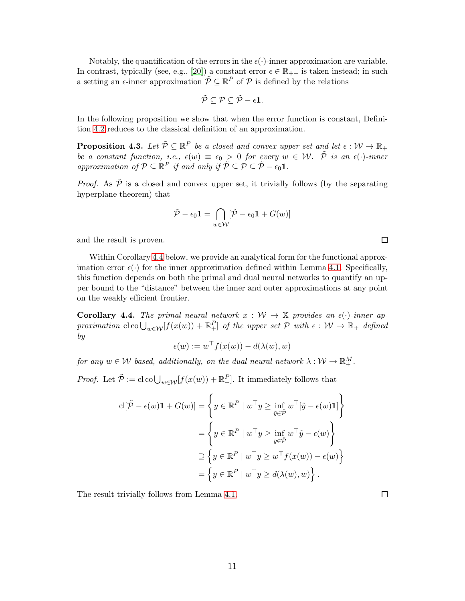Notably, the quantification of the errors in the  $\epsilon(\cdot)$ -inner approximation are variable. In contrast, typically (see, e.g., [\[20\]](#page-26-4)) a constant error  $\epsilon \in \mathbb{R}_{++}$  is taken instead; in such a setting an  $\epsilon$ -inner approximation  $\tilde{\mathcal{P}} \subseteq \mathbb{R}^P$  of  $\mathcal{P}$  is defined by the relations

$$
\tilde{\mathcal{P}} \subseteq \mathcal{P} \subseteq \tilde{\mathcal{P}} - \epsilon \mathbf{1}.
$$

In the following proposition we show that when the error function is constant, Definition [4.2](#page-9-2) reduces to the classical definition of an approximation.

<span id="page-10-0"></span>**Proposition 4.3.** Let  $\tilde{\mathcal{P}} \subseteq \mathbb{R}^P$  be a closed and convex upper set and let  $\epsilon : \mathcal{W} \to \mathbb{R}_+$ be a constant function, i.e.,  $\epsilon(w) \equiv \epsilon_0 > 0$  for every  $w \in \mathcal{W}$ .  $\tilde{\mathcal{P}}$  is an  $\epsilon(\cdot)$ -inner approximation of  $P \subseteq \mathbb{R}^P$  if and only if  $\tilde{P} \subseteq \mathcal{P} \subseteq \tilde{\mathcal{P}} - \epsilon_0 \mathbf{1}$ .

*Proof.* As  $\tilde{\mathcal{P}}$  is a closed and convex upper set, it trivially follows (by the separating hyperplane theorem) that

$$
\tilde{\mathcal{P}} - \epsilon_0 \mathbf{1} = \bigcap_{w \in \mathcal{W}} [\tilde{\mathcal{P}} - \epsilon_0 \mathbf{1} + G(w)]
$$

and the result is proven.

Within Corollary [4.4](#page-10-1) below, we provide an analytical form for the functional approximation error  $\epsilon(\cdot)$  for the inner approximation defined within Lemma [4.1.](#page-9-1) Specifically, this function depends on both the primal and dual neural networks to quantify an upper bound to the "distance" between the inner and outer approximations at any point on the weakly efficient frontier.

<span id="page-10-1"></span>**Corollary 4.4.** The primal neural network  $x : W \to X$  provides an  $\epsilon(\cdot)$ -inner approximation  $\text{cl} \text{col}_{w \in \mathcal{W}}[f(x(w)) + \mathbb{R}^P_+]$  of the upper set  $\mathcal{P}$  with  $\epsilon : \mathcal{W} \to \mathbb{R}_+$  defined by

$$
\epsilon(w) := w^\top f(x(w)) - d(\lambda(w), w)
$$

for any  $w \in \mathcal{W}$  based, additionally, on the dual neural network  $\lambda : \mathcal{W} \to \mathbb{R}^M_+$ .

*Proof.* Let  $\tilde{\mathcal{P}} := \text{cl co}\bigcup_{w \in \mathcal{W}}[f(x(w)) + \mathbb{R}^P_+]$ . It immediately follows that

$$
cl[\tilde{\mathcal{P}} - \epsilon(w)\mathbf{1} + G(w)] = \left\{ y \in \mathbb{R}^P \mid w^\top y \ge \inf_{\tilde{y} \in \tilde{\mathcal{P}}} w^\top [\tilde{y} - \epsilon(w)\mathbf{1}] \right\}
$$

$$
= \left\{ y \in \mathbb{R}^P \mid w^\top y \ge \inf_{\tilde{y} \in \tilde{\mathcal{P}}} w^\top \tilde{y} - \epsilon(w) \right\}
$$

$$
\supseteq \left\{ y \in \mathbb{R}^P \mid w^\top y \ge w^\top f(x(w)) - \epsilon(w) \right\}
$$

$$
= \left\{ y \in \mathbb{R}^P \mid w^\top y \ge d(\lambda(w), w) \right\}.
$$

The result trivially follows from Lemma [4.1.](#page-9-1)

 $\Box$ 

 $\Box$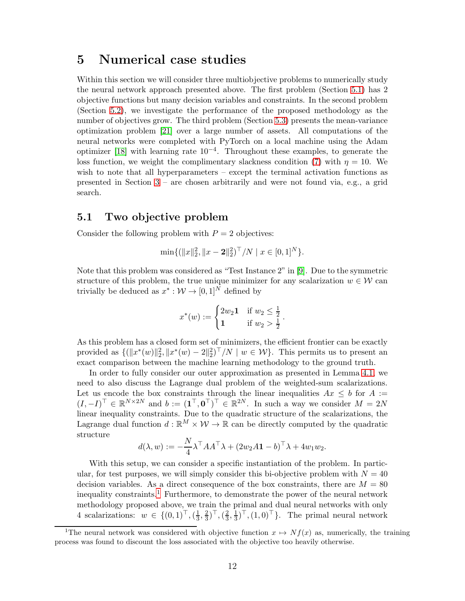# <span id="page-11-0"></span>5 Numerical case studies

Within this section we will consider three multiobjective problems to numerically study the neural network approach presented above. The first problem (Section [5.1\)](#page-11-1) has 2 objective functions but many decision variables and constraints. In the second problem (Section [5.2\)](#page-13-0), we investigate the performance of the proposed methodology as the number of objectives grow. The third problem (Section [5.3\)](#page-15-0) presents the mean-variance optimization problem [\[21\]](#page-26-0) over a large number of assets. All computations of the neural networks were completed with PyTorch on a local machine using the Adam optimizer [\[18\]](#page-26-9) with learning rate 10−<sup>4</sup> . Throughout these examples, to generate the loss function, we weight the complimentary slackness condition [\(7\)](#page-4-3) with  $\eta = 10$ . We wish to note that all hyperparameters – except the terminal activation functions as presented in Section [3](#page-6-0) – are chosen arbitrarily and were not found via, e.g., a grid search.

### <span id="page-11-1"></span>5.1 Two objective problem

Consider the following problem with  $P = 2$  objectives:

$$
\min\{(\|x\|_2^2, \|x-\mathbf{2}\|_2^2)^{\top}/N \mid x \in [0,1]^N\}.
$$

Note that this problem was considered as "Test Instance 2" in [\[9\]](#page-25-10). Due to the symmetric structure of this problem, the true unique minimizer for any scalarization  $w \in \mathcal{W}$  can trivially be deduced as  $x^* : \mathcal{W} \to [0,1]^N$  defined by

$$
x^*(w) := \begin{cases} 2w_2 \mathbf{1} & \text{if } w_2 \le \frac{1}{2} \\ \mathbf{1} & \text{if } w_2 > \frac{1}{2} \end{cases}.
$$

As this problem has a closed form set of minimizers, the efficient frontier can be exactly provided as  $\{(\Vert x^*(w)\Vert_2^2, \Vert x^*(w) - 2\Vert_2^2)^\top/N \mid w \in \mathcal{W}\}\)$ . This permits us to present an exact comparison between the machine learning methodology to the ground truth.

In order to fully consider our outer approximation as presented in Lemma [4.1,](#page-9-1) we need to also discuss the Lagrange dual problem of the weighted-sum scalarizations. Let us encode the box constraints through the linear inequalities  $Ax \leq b$  for  $A :=$  $(I, -I)^{\top} \in \mathbb{R}^{N \times 2N}$  and  $b := (\mathbf{1}^{\top}, \mathbf{0}^{\top})^{\top} \in \mathbb{R}^{2N}$ . In such a way we consider  $M = 2N$ linear inequality constraints. Due to the quadratic structure of the scalarizations, the Lagrange dual function  $d : \mathbb{R}^M \times \mathcal{W} \to \mathbb{R}$  can be directly computed by the quadratic structure

$$
d(\lambda, w) := -\frac{N}{4} \lambda^\top A A^\top \lambda + (2w_2 A \mathbf{1} - b)^\top \lambda + 4w_1 w_2.
$$

With this setup, we can consider a specific instantiation of the problem. In particular, for test purposes, we will simply consider this bi-objective problem with  $N = 40$ decision variables. As a direct consequence of the box constraints, there are  $M = 80$ inequality constraints.<sup>[1](#page-11-2)</sup> Furthermore, to demonstrate the power of the neural network methodology proposed above, we train the primal and dual neural networks with only 4 scalarizations:  $w \in \{(0,1)^\top, (\frac{1}{3})^\top\}$  $\frac{1}{3}, \frac{2}{3}$  $(\frac{2}{3})^{\top},(\frac{2}{3})^{\top}$  $\frac{2}{3}, \frac{1}{3}$  $(\frac{1}{3})^{\dagger}$ ,  $(1,0)^{\dagger}$ . The primal neural network

<span id="page-11-2"></span><sup>&</sup>lt;sup>1</sup>The neural network was considered with objective function  $x \mapsto Nf(x)$  as, numerically, the training process was found to discount the loss associated with the objective too heavily otherwise.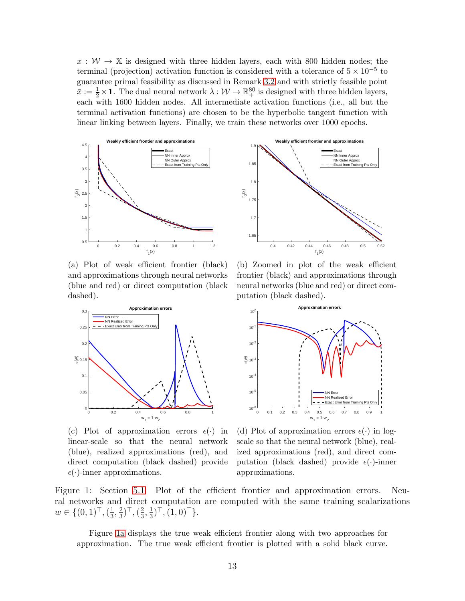$x : \mathcal{W} \to \mathbb{X}$  is designed with three hidden layers, each with 800 hidden nodes; the terminal (projection) activation function is considered with a tolerance of  $5 \times 10^{-5}$  to guarantee primal feasibility as discussed in Remark [3.2](#page-7-3) and with strictly feasible point  $\bar{x} := \frac{1}{2} \times \mathbf{1}$ . The dual neural network  $\lambda : \mathcal{W} \to \mathbb{R}^{80}_+$  is designed with three hidden layers, each with 1600 hidden nodes. All intermediate activation functions (i.e., all but the terminal activation functions) are chosen to be the hyperbolic tangent function with linear linking between layers. Finally, we train these networks over 1000 epochs.

<span id="page-12-0"></span>

(a) Plot of weak efficient frontier (black) and approximations through neural networks (blue and red) or direct computation (black dashed).



(c) Plot of approximation errors  $\epsilon(\cdot)$  in linear-scale so that the neural network (blue), realized approximations (red), and direct computation (black dashed) provide  $\epsilon(\cdot)$ -inner approximations.



(b) Zoomed in plot of the weak efficient frontier (black) and approximations through neural networks (blue and red) or direct computation (black dashed).



(d) Plot of approximation errors  $\epsilon(\cdot)$  in logscale so that the neural network (blue), realized approximations (red), and direct computation (black dashed) provide  $\epsilon(\cdot)$ -inner approximations.

Figure 1: Section [5.1:](#page-11-1) Plot of the efficient frontier and approximation errors. Neural networks and direct computation are computed with the same training scalarizations  $w \in \{ (0,1)^\top, (\frac{1}{3})^\top \}$  $\frac{1}{3}, \frac{2}{3}$  $(\frac{2}{3})^{\top},(\frac{2}{3})^{\top}$  $\frac{2}{3}, \frac{1}{3}$  $(\frac{1}{3})^{\top}, (1,0)^{\top}$ .

Figure [1a](#page-12-0) displays the true weak efficient frontier along with two approaches for approximation. The true weak efficient frontier is plotted with a solid black curve.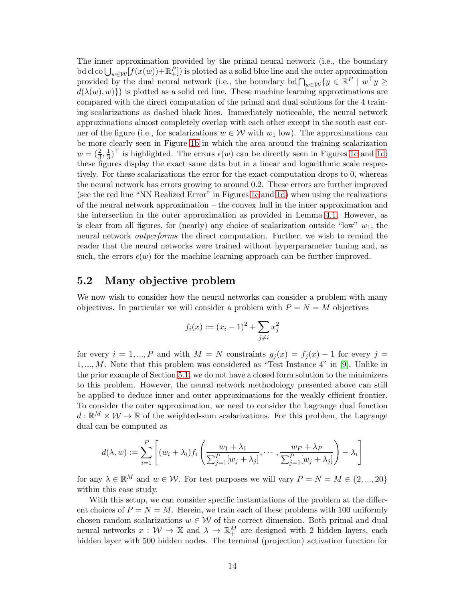The inner approximation provided by the primal neural network (i.e., the boundary bd cl co  $\bigcup_{w\in\mathcal{W}}[f(x(w))+\mathbb{R}^P_+]$ ) is plotted as a solid blue line and the outer approximation provided by the dual neural network (i.e., the boundary bd $\bigcap_{w \in \mathcal{W}} \{y \in \mathbb{R}^P \mid w^\top y \geq 0\}$  $d(\lambda(w), w)$ ) is plotted as a solid red line. These machine learning approximations are compared with the direct computation of the primal and dual solutions for the 4 training scalarizations as dashed black lines. Immediately noticeable, the neural network approximations almost completely overlap with each other except in the south east corner of the figure (i.e., for scalarizations  $w \in \mathcal{W}$  with  $w_1$  low). The approximations can be more clearly seen in Figure [1b](#page-12-0) in which the area around the training scalarization  $w = (\frac{2}{3}, \frac{1}{3})$  $\frac{1}{3}$ <sup>†</sup> is highlighted. The errors  $\epsilon(w)$  can be directly seen in Figures [1c](#page-12-0) and [1d;](#page-12-0) these figures display the exact same data but in a linear and logarithmic scale respectively. For these scalarizations the error for the exact computation drops to 0, whereas the neural network has errors growing to around 0.2. These errors are further improved (see the red line "NN Realized Error" in Figures [1c](#page-12-0) and [1d\)](#page-12-0) when using the realizations of the neural network approximation – the convex hull in the inner approximation and the intersection in the outer approximation as provided in Lemma [4.1.](#page-9-1) However, as is clear from all figures, for (nearly) any choice of scalarization outside "low"  $w_1$ , the neural network outperforms the direct computation. Further, we wish to remind the reader that the neural networks were trained without hyperparameter tuning and, as such, the errors  $\epsilon(w)$  for the machine learning approach can be further improved.

### <span id="page-13-0"></span>5.2 Many objective problem

We now wish to consider how the neural networks can consider a problem with many objectives. In particular we will consider a problem with  $P = N = M$  objectives

$$
f_i(x) := (x_i - 1)^2 + \sum_{j \neq i} x_j^2
$$

for every  $i = 1, ..., P$  and with  $M = N$  constraints  $g_j(x) = f_j(x) - 1$  for every  $j =$  $1, \ldots, M$ . Note that this problem was considered as "Test Instance 4" in [\[9\]](#page-25-10). Unlike in the prior example of Section [5.1,](#page-11-1) we do not have a closed form solution to the minimizers to this problem. However, the neural network methodology presented above can still be applied to deduce inner and outer approximations for the weakly efficient frontier. To consider the outer approximation, we need to consider the Lagrange dual function  $d : \mathbb{R}^M \times \mathcal{W} \to \mathbb{R}$  of the weighted-sum scalarizations. For this problem, the Lagrange dual can be computed as

$$
d(\lambda, w) := \sum_{i=1}^{P} \left[ (w_i + \lambda_i) f_i \left( \frac{w_1 + \lambda_1}{\sum_{j=1}^{P} [w_j + \lambda_j]}, \dots, \frac{w_P + \lambda_P}{\sum_{j=1}^{P} [w_j + \lambda_j]} \right) - \lambda_i \right]
$$

for any  $\lambda \in \mathbb{R}^M$  and  $w \in \mathcal{W}$ . For test purposes we will vary  $P = N = M \in \{2, ..., 20\}$ within this case study.

With this setup, we can consider specific instantiations of the problem at the different choices of  $P = N = M$ . Herein, we train each of these problems with 100 uniformly chosen random scalarizations  $w \in \mathcal{W}$  of the correct dimension. Both primal and dual neural networks  $x: \mathcal{W} \to \mathbb{X}$  and  $\lambda \to \mathbb{R}^M_+$  are designed with 2 hidden layers, each hidden layer with 500 hidden nodes. The terminal (projection) activation function for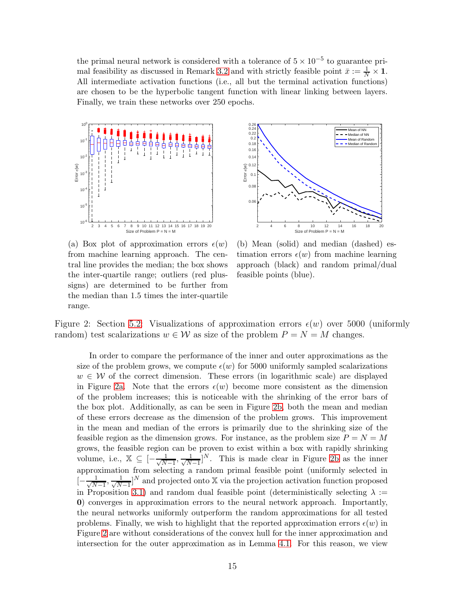the primal neural network is considered with a tolerance of  $5 \times 10^{-5}$  to guarantee pri-mal feasibility as discussed in Remark [3.2](#page-7-3) and with strictly feasible point  $\bar{x} := \frac{1}{N} \times \mathbf{1}$ . All intermediate activation functions (i.e., all but the terminal activation functions) are chosen to be the hyperbolic tangent function with linear linking between layers. Finally, we train these networks over 250 epochs.

<span id="page-14-0"></span>

(a) Box plot of approximation errors  $\epsilon(w)$ from machine learning approach. The central line provides the median; the box shows the inter-quartile range; outliers (red plussigns) are determined to be further from the median than 1.5 times the inter-quartile range.



(b) Mean (solid) and median (dashed) estimation errors  $\epsilon(w)$  from machine learning approach (black) and random primal/dual feasible points (blue).

Figure 2: Section [5.2:](#page-13-0) Visualizations of approximation errors  $\epsilon(w)$  over 5000 (uniformly random) test scalarizations  $w \in \mathcal{W}$  as size of the problem  $P = N = M$  changes.

In order to compare the performance of the inner and outer approximations as the size of the problem grows, we compute  $\epsilon(w)$  for 5000 uniformly sampled scalarizations  $w \in \mathcal{W}$  of the correct dimension. These errors (in logarithmic scale) are displayed in Figure [2a.](#page-14-0) Note that the errors  $\epsilon(w)$  become more consistent as the dimension of the problem increases; this is noticeable with the shrinking of the error bars of the box plot. Additionally, as can be seen in Figure [2b,](#page-14-0) both the mean and median of these errors decrease as the dimension of the problem grows. This improvement in the mean and median of the errors is primarily due to the shrinking size of the feasible region as the dimension grows. For instance, as the problem size  $P = N = M$ grows, the feasible region can be proven to exist within a box with rapidly shrinking volume, i.e.,  $\mathbb{X} \subseteq \left[ -\frac{1}{\sqrt{N}} \right]$  $\frac{1}{N-1}, \frac{1}{\sqrt{N}}$  $\frac{1}{N-1}$ <sup>N</sup>. This is made clear in Figure [2b](#page-14-0) as the inner approximation from selecting a random primal feasible point (uniformly selected in  $\left[-\frac{1}{\sqrt{N}}\right]$  $\frac{1}{N-1}, \frac{1}{\sqrt{N}}$  $\frac{1}{N-1}$ <sup>N</sup> and projected onto X via the projection activation function proposed in Proposition [3.1\)](#page-7-1) and random dual feasible point (deterministically selecting  $\lambda :=$ 0) converges in approximation errors to the neural network approach. Importantly, the neural networks uniformly outperform the random approximations for all tested problems. Finally, we wish to highlight that the reported approximation errors  $\epsilon(w)$  in Figure [2](#page-14-0) are without considerations of the convex hull for the inner approximation and intersection for the outer approximation as in Lemma [4.1.](#page-9-1) For this reason, we view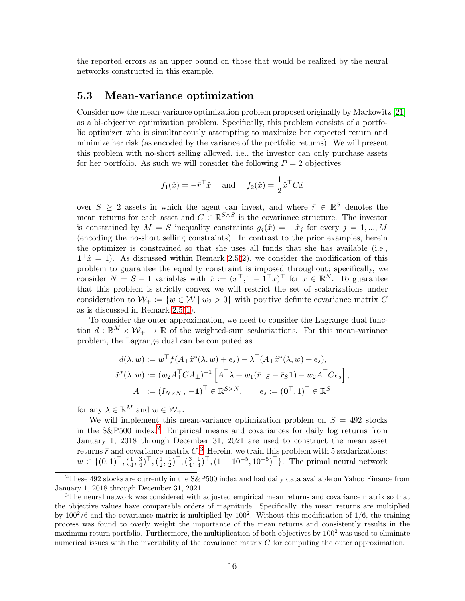the reported errors as an upper bound on those that would be realized by the neural networks constructed in this example.

### <span id="page-15-0"></span>5.3 Mean-variance optimization

Consider now the mean-variance optimization problem proposed originally by Markowitz [\[21\]](#page-26-0) as a bi-objective optimization problem. Specifically, this problem consists of a portfolio optimizer who is simultaneously attempting to maximize her expected return and minimize her risk (as encoded by the variance of the portfolio returns). We will present this problem with no-short selling allowed, i.e., the investor can only purchase assets for her portfolio. As such we will consider the following  $P = 2$  objectives

$$
f_1(\hat{x}) = -\bar{r}^\top \hat{x}
$$
 and  $f_2(\hat{x}) = \frac{1}{2}\hat{x}^\top C \hat{x}$ 

over  $S \geq 2$  assets in which the agent can invest, and where  $\bar{r} \in \mathbb{R}^S$  denotes the mean returns for each asset and  $C \in \mathbb{R}^{S \times S}$  is the covariance structure. The investor is constrained by  $M = S$  inequality constraints  $g_i(\hat{x}) = -\hat{x}_i$  for every  $j = 1, ..., M$ (encoding the no-short selling constraints). In contrast to the prior examples, herein the optimizer is constrained so that she uses all funds that she has available (i.e.,  $1^{\dagger} \hat{x} = 1$ . As discussed within Remark [2.5\(](#page-3-0)[2\)](#page-3-1), we consider the modification of this problem to guarantee the equality constraint is imposed throughout; specifically, we consider  $N = S - 1$  variables with  $\hat{x} := (x^{\top}, 1 - \mathbf{1}^{\top} x)^{\top}$  for  $x \in \mathbb{R}^{N}$ . To guarantee that this problem is strictly convex we will restrict the set of scalarizations under consideration to  $\mathcal{W}_+ := \{w \in \mathcal{W} \mid w_2 > 0\}$  with positive definite covariance matrix C as is discussed in Remark [2.5\(](#page-3-0)[1\)](#page-3-3).

To consider the outer approximation, we need to consider the Lagrange dual function  $d : \mathbb{R}^M \times \mathcal{W}_+ \to \mathbb{R}$  of the weighted-sum scalarizations. For this mean-variance problem, the Lagrange dual can be computed as

$$
d(\lambda, w) := w^\top f(A_\perp \tilde{x}^*(\lambda, w) + e_s) - \lambda^\top (A_\perp \tilde{x}^*(\lambda, w) + e_s),
$$
  

$$
\tilde{x}^*(\lambda, w) := (w_2 A_\perp^\top C A_\perp)^{-1} \left[ A_\perp^\top \lambda + w_1 (\bar{r}_{-S} - \bar{r}_S \mathbf{1}) - w_2 A_\perp^\top C e_s \right],
$$
  

$$
A_\perp := (I_{N \times N}, -\mathbf{1})^\top \in \mathbb{R}^{S \times N}, \qquad e_s := (\mathbf{0}^\top, 1)^\top \in \mathbb{R}^S
$$

for any  $\lambda \in \mathbb{R}^M$  and  $w \in \mathcal{W}_+$ .

We will implement this mean-variance optimization problem on  $S = 492$  stocks in the  $S\&P500$  index.<sup>[2](#page-15-1)</sup> Empirical means and covariances for daily log returns from January 1, 2018 through December 31, 2021 are used to construct the mean asset returns  $\bar{r}$  and covariance matrix  $C<sup>3</sup>$  $C<sup>3</sup>$  $C<sup>3</sup>$  Herein, we train this problem with 5 scalarizations:  $w \in \{ (0,1)^\top, (\frac{1}{4})^\top, (0,1)^\top, (0,1)^\top, (0,1)^\top, (0,1)^\top, (0,1)^\top, (0,1)^\top, (0,1)^\top, (0,1)^\top, (0,1)^\top, (0,1)^\top, (0,1)^\top, (0,1)^\top, (0,1)^\top, (0,1)^\top, (0,1)^\top, (0,1)^\top, (0,1)^\top, (0,1)^\top, (0,1)^\top, (0,1)^\top, (0,1)^\top, (0,1)^\top, (0,1)^\top, (0,1)^\top, (0,1)$  $\frac{1}{4}$ ,  $\frac{3}{4}$  $(\frac{3}{4})^{\top}, (\frac{1}{2})^{\top}$  $\frac{1}{2}, \frac{1}{2}$  $(\frac{1}{2})^{\top},(\frac{3}{4})^{\top}$  $\frac{3}{4}, \frac{1}{4}$  $(\frac{1}{4})^{\top}, (1 - 10^{-5}, 10^{-5})^{\top}$ . The primal neural network

<span id="page-15-1"></span><sup>&</sup>lt;sup>2</sup>These 492 stocks are currently in the S&P500 index and had daily data available on Yahoo Finance from January 1, 2018 through December 31, 2021.

<span id="page-15-2"></span><sup>&</sup>lt;sup>3</sup>The neural network was considered with adjusted empirical mean returns and covariance matrix so that the objective values have comparable orders of magnitude. Specifically, the mean returns are multiplied by  $100^2/6$  and the covariance matrix is multiplied by 100<sup>2</sup>. Without this modification of 1/6, the training process was found to overly weight the importance of the mean returns and consistently results in the maximum return portfolio. Furthermore, the multiplication of both objectives by  $100<sup>2</sup>$  was used to eliminate numerical issues with the invertibility of the covariance matrix  $C$  for computing the outer approximation.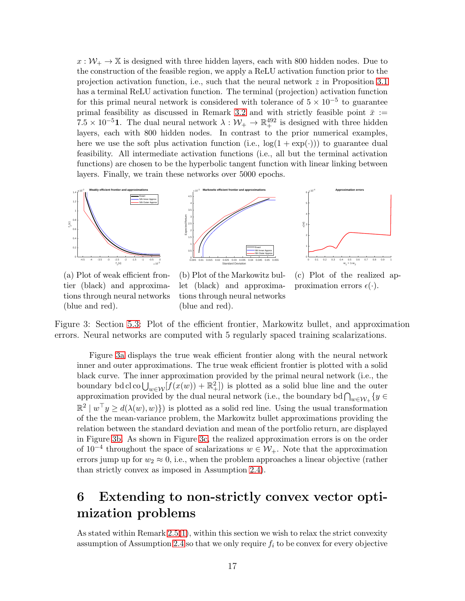$x:\mathcal{W}_+ \to \mathbb{X}$  is designed with three hidden layers, each with 800 hidden nodes. Due to the construction of the feasible region, we apply a ReLU activation function prior to the projection activation function, i.e., such that the neural network z in Proposition [3.1](#page-7-1) has a terminal ReLU activation function. The terminal (projection) activation function for this primal neural network is considered with tolerance of  $5 \times 10^{-5}$  to guarantee primal feasibility as discussed in Remark [3.2](#page-7-3) and with strictly feasible point  $\bar{x}$  := 7.5 × 10<sup>-5</sup>1. The dual neural network  $\lambda : \mathcal{W}_+ \to \mathbb{R}^{492}_+$  is designed with three hidden layers, each with 800 hidden nodes. In contrast to the prior numerical examples, here we use the soft plus activation function (i.e.,  $\log(1 + \exp(\cdot))$ ) to guarantee dual feasibility. All intermediate activation functions (i.e., all but the terminal activation functions) are chosen to be the hyperbolic tangent function with linear linking between layers. Finally, we train these networks over 5000 epochs.

<span id="page-16-1"></span>

(a) Plot of weak efficient frontier (black) and approximations through neural networks (blue and red).

(b) Plot of the Markowitz bullet (black) and approximations through neural networks (blue and red).

(c) Plot of the realized approximation errors  $\epsilon(\cdot)$ .

Figure 3: Section [5.3:](#page-15-0) Plot of the efficient frontier, Markowitz bullet, and approximation errors. Neural networks are computed with 5 regularly spaced training scalarizations.

Figure [3a](#page-16-1) displays the true weak efficient frontier along with the neural network inner and outer approximations. The true weak efficient frontier is plotted with a solid black curve. The inner approximation provided by the primal neural network (i.e., the boundary bd cl co  $\bigcup_{w\in\mathcal{W}}[f(x(w))+\mathbb{R}^2_+]$  is plotted as a solid blue line and the outer approximation provided by the dual neural network (i.e., the boundary bd  $\bigcap_{w \in \mathcal{W}_+} \{y \in$  $\mathbb{R}^2 \mid w^\top y \ge d(\lambda(w), w)$  is plotted as a solid red line. Using the usual transformation of the the mean-variance problem, the Markowitz bullet approximations providing the relation between the standard deviation and mean of the portfolio return, are displayed in Figure [3b.](#page-16-1) As shown in Figure [3c,](#page-16-1) the realized approximation errors is on the order of 10<sup>-4</sup> throughout the space of scalarizations  $w \in \mathcal{W}_+$ . Note that the approximation errors jump up for  $w_2 \approx 0$ , i.e., when the problem approaches a linear objective (rather than strictly convex as imposed in Assumption [2.4\)](#page-2-4).

# <span id="page-16-0"></span>6 Extending to non-strictly convex vector optimization problems

As stated within Remark  $2.5(1)$  $2.5(1)$ , within this section we wish to relax the strict convexity assumption of Assumption [2.4](#page-2-4) so that we only require  $f_i$  to be convex for every objective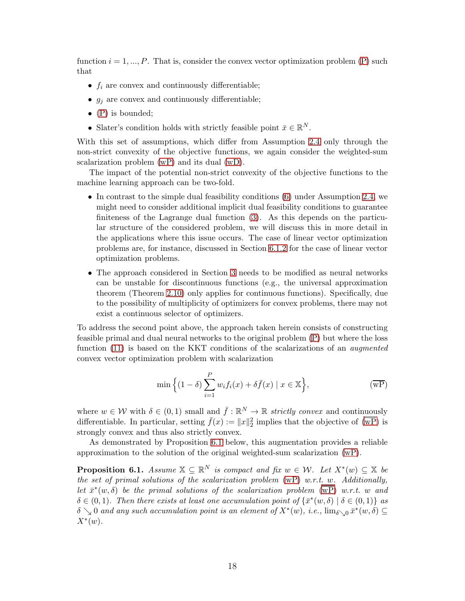function  $i = 1, ..., P$ . That is, consider the convex vector optimization problem [\(P\)](#page-2-2) such that

- $f_i$  are convex and continuously differentiable;
- $g_j$  are convex and continuously differentiable;
- $\bullet$  [\(P\)](#page-2-2) is bounded;
- Slater's condition holds with strictly feasible point  $\bar{x} \in \mathbb{R}^N$ .

With this set of assumptions, which differ from Assumption [2.4](#page-2-4) only through the non-strict convexity of the objective functions, we again consider the weighted-sum scalarization problem [\(wP\)](#page-2-3) and its dual [\(wD\)](#page-4-1).

The impact of the potential non-strict convexity of the objective functions to the machine learning approach can be two-fold.

- In contrast to the simple dual feasibility conditions [\(6\)](#page-4-5) under Assumption [2.4,](#page-2-4) we might need to consider additional implicit dual feasibility conditions to guarantee finiteness of the Lagrange dual function [\(3\)](#page-3-2). As this depends on the particular structure of the considered problem, we will discuss this in more detail in the applications where this issue occurs. The case of linear vector optimization problems are, for instance, discussed in Section [6.1.2](#page-19-0) for the case of linear vector optimization problems.
- The approach considered in Section [3](#page-6-0) needs to be modified as neural networks can be unstable for discontinuous functions (e.g., the universal approximation theorem (Theorem [2.10\)](#page-5-1) only applies for continuous functions). Specifically, due to the possibility of multiplicity of optimizers for convex problems, there may not exist a continuous selector of optimizers.

To address the second point above, the approach taken herein consists of constructing feasible primal and dual neural networks to the original problem [\(P\)](#page-2-2) but where the loss function [\(11\)](#page-8-1) is based on the KKT conditions of the scalarizations of an *augmented* convex vector optimization problem with scalarization

<span id="page-17-0"></span>
$$
\min\left\{(1-\delta)\sum_{i=1}^{P} w_i f_i(x) + \delta \bar{f}(x) \mid x \in \mathbb{X}\right\},\tag{wP}
$$

where  $w \in \mathcal{W}$  with  $\delta \in (0,1)$  small and  $\bar{f} : \mathbb{R}^N \to \mathbb{R}$  strictly convex and continuously differentiable. In particular, setting  $\bar{f}(x) := ||x||_2^2$  implies that the objective of  $\overline{(wP)}$  is strongly convex and thus also strictly convex.

As demonstrated by Proposition [6.1](#page-17-1) below, this augmentation provides a reliable approximation to the solution of the original weighted-sum scalarization [\(wP\)](#page-2-3).

<span id="page-17-1"></span>**Proposition 6.1.** Assume  $X \subseteq \mathbb{R}^N$  is compact and fix  $w \in \mathcal{W}$ . Let  $X^*(w) \subseteq X$  be the set of primal solutions of the scalarization problem  $(wP)$  w.r.t. w. Additionally, let  $\bar{x}^*(w, \delta)$  be the primal solutions of the scalarization problem  $(wP)$  w.r.t. w and  $\delta \in (0,1)$ . Then there exists at least one accumulation point of  $\{\bar{x}^*(w,\delta) \mid \delta \in (0,1)\}$  as  $\delta \searrow 0$  and any such accumulation point is an element of  $X^*(w)$ , i.e.,  $\lim_{\delta \searrow 0} \bar{x}^*(w, \delta) \subseteq$  $X^*(w)$ .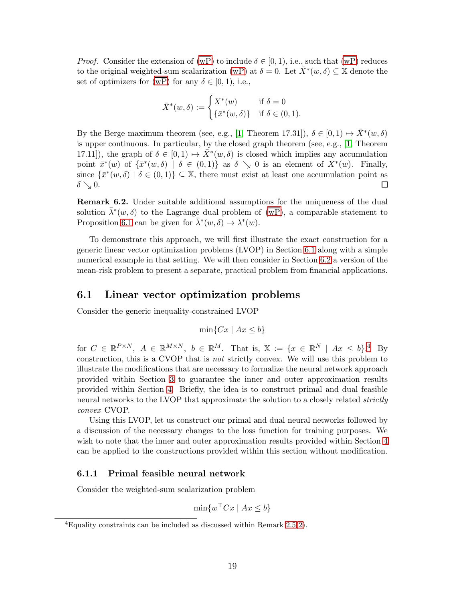*Proof.* Consider the extension of  $(\overline{wP})$  to include  $\delta \in [0, 1)$ , i.e., such that  $(\overline{wP})$  reduces to the original weighted-sum scalarization [\(wP\)](#page-2-3) at  $\delta = 0$ . Let  $\bar{X}^*(w, \delta) \subseteq \mathbb{X}$  denote the set of optimizers for  $\overline{(wP)}$  for any  $\delta \in [0,1)$ , i.e.,

$$
\bar{X}^*(w,\delta) := \begin{cases} X^*(w) & \text{if } \delta = 0\\ \{\bar{x}^*(w,\delta)\} & \text{if } \delta \in (0,1). \end{cases}
$$

By the Berge maximum theorem (see, e.g., [\[1,](#page-25-11) Theorem 17.31]),  $\delta \in [0,1) \mapsto \bar{X}^*(w,\delta)$ is upper continuous. In particular, by the closed graph theorem (see, e.g., [\[1,](#page-25-11) Theorem 17.11]), the graph of  $\delta \in [0,1) \mapsto \overline{X}^*(w,\delta)$  is closed which implies any accumulation point  $\bar{x}^*(w)$  of  $\{\bar{x}^*(w,\delta) \mid \delta \in (0,1)\}\$  as  $\delta \searrow 0$  is an element of  $X^*(w)$ . Finally, since  $\{\bar{x}^*(w,\delta) \mid \delta \in (0,1)\}\subseteq \mathbb{X}$ , there must exist at least one accumulation point as  $\delta \searrow 0.$ □

Remark 6.2. Under suitable additional assumptions for the uniqueness of the dual solution  $\bar{\lambda}^*(w,\delta)$  to the Lagrange dual problem of  $\overline{(wP)}$ , a comparable statement to Proposition [6.1](#page-17-1) can be given for  $\bar{\lambda}^*(w, \delta) \to \lambda^*(w)$ .

To demonstrate this approach, we will first illustrate the exact construction for a generic linear vector optimization problems (LVOP) in Section [6.1](#page-18-0) along with a simple numerical example in that setting. We will then consider in Section [6.2](#page-22-0) a version of the mean-risk problem to present a separate, practical problem from financial applications.

#### <span id="page-18-0"></span>6.1 Linear vector optimization problems

Consider the generic inequality-constrained LVOP

$$
\min\{Cx \mid Ax \le b\}
$$

for  $C \in \mathbb{R}^{P\times N}$ ,  $A \in \mathbb{R}^{M\times N}$ ,  $b \in \mathbb{R}^{M}$ . That is,  $\mathbb{X} := \{x \in \mathbb{R}^{N} \mid Ax \leq b\}$ .<sup>[4](#page-18-1)</sup> By construction, this is a CVOP that is not strictly convex. We will use this problem to illustrate the modifications that are necessary to formalize the neural network approach provided within Section [3](#page-6-0) to guarantee the inner and outer approximation results provided within Section [4.](#page-9-0) Briefly, the idea is to construct primal and dual feasible neural networks to the LVOP that approximate the solution to a closely related *strictly* convex CVOP.

Using this LVOP, let us construct our primal and dual neural networks followed by a discussion of the necessary changes to the loss function for training purposes. We wish to note that the inner and outer approximation results provided within Section [4](#page-9-0) can be applied to the constructions provided within this section without modification.

#### <span id="page-18-2"></span>6.1.1 Primal feasible neural network

Consider the weighted-sum scalarization problem

$$
\min \{ w^\top C x \mid Ax \le b \}
$$

<span id="page-18-1"></span><sup>&</sup>lt;sup>4</sup>Equality constraints can be included as discussed within Remark [2.5\(](#page-3-0)[2\)](#page-3-1).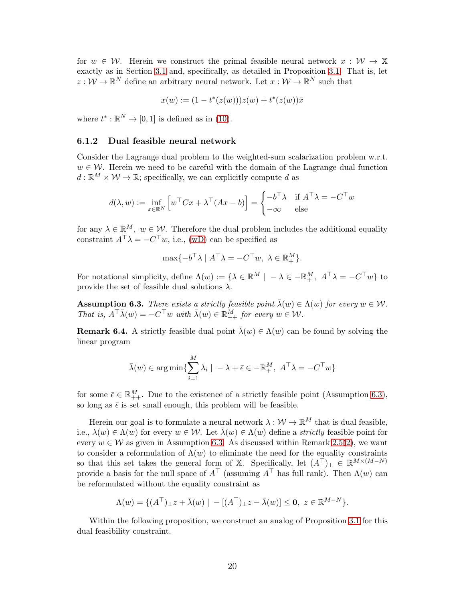for  $w \in \mathcal{W}$ . Herein we construct the primal feasible neural network  $x : \mathcal{W} \to \mathbb{X}$ exactly as in Section [3.1](#page-6-1) and, specifically, as detailed in Proposition [3.1.](#page-7-1) That is, let  $z: \mathcal{W} \to \mathbb{R}^N$  define an arbitrary neural network. Let  $x: \mathcal{W} \to \mathbb{R}^N$  such that

$$
x(w) := (1 - t^*(z(w)))z(w) + t^*(z(w))\overline{x}
$$

where  $t^* : \mathbb{R}^N \to [0,1]$  is defined as in [\(10\)](#page-7-2).

#### <span id="page-19-0"></span>6.1.2 Dual feasible neural network

Consider the Lagrange dual problem to the weighted-sum scalarization problem w.r.t.  $w \in \mathcal{W}$ . Herein we need to be careful with the domain of the Lagrange dual function  $d: \mathbb{R}^M \times \mathcal{W} \to \mathbb{R}$ ; specifically, we can explicitly compute d as

$$
d(\lambda, w) := \inf_{x \in \mathbb{R}^N} \left[ w^\top C x + \lambda^\top (Ax - b) \right] = \begin{cases} -b^\top \lambda & \text{if } A^\top \lambda = -C^\top w \\ -\infty & \text{else} \end{cases}
$$

for any  $\lambda \in \mathbb{R}^M$ ,  $w \in \mathcal{W}$ . Therefore the dual problem includes the additional equality constraint  $A^{\dagger} \lambda = -C^{\dagger} w$ , i.e., [\(wD\)](#page-4-1) can be specified as

$$
\max\{-b^{\top}\lambda \mid A^{\top}\lambda = -C^{\top}w, \lambda \in \mathbb{R}_{+}^{M}\}.
$$

For notational simplicity, define  $\Lambda(w) := \{ \lambda \in \mathbb{R}^M \mid -\lambda \in -\mathbb{R}^M_+, A^\top \lambda = -C^\top w \}$  to provide the set of feasible dual solutions  $\lambda$ .

<span id="page-19-1"></span>**Assumption 6.3.** There exists a strictly feasible point  $\bar{\lambda}(w) \in \Lambda(w)$  for every  $w \in \mathcal{W}$ . That is,  $A^{\top} \overline{\lambda}(w) = -C^{\top}w$  with  $\overline{\lambda}(w) \in \mathbb{R}^M_{++}$  for every  $w \in \mathcal{W}$ .

<span id="page-19-2"></span>**Remark 6.4.** A strictly feasible dual point  $\bar{\lambda}(w) \in \Lambda(w)$  can be found by solving the linear program

$$
\bar{\lambda}(w) \in \arg\min \{ \sum_{i=1}^{M} \lambda_i \mid -\lambda + \bar{\epsilon} \in -\mathbb{R}_+^M, A^\top \lambda = -C^\top w \}
$$

for some  $\bar{\epsilon} \in \mathbb{R}_{++}^M$ . Due to the existence of a strictly feasible point (Assumption [6.3\)](#page-19-1), so long as  $\bar{\epsilon}$  is set small enough, this problem will be feasible.

Herein our goal is to formulate a neural network  $\lambda : \mathcal{W} \to \mathbb{R}^M$  that is dual feasible, i.e.,  $\lambda(w) \in \Lambda(w)$  for every  $w \in \mathcal{W}$ . Let  $\bar{\lambda}(w) \in \Lambda(w)$  define a *strictly* feasible point for every  $w \in \mathcal{W}$  as given in Assumption [6.3.](#page-19-1) As discussed within Remark [2.5\(](#page-3-0)[2\)](#page-3-1), we want to consider a reformulation of  $\Lambda(w)$  to eliminate the need for the equality constraints so that this set takes the general form of X. Specifically, let  $(A^{\top})_{\perp} \in \mathbb{R}^{M \times (M-N)}$ provide a basis for the null space of  $A^{\top}$  (assuming  $A^{\top}$  has full rank). Then  $\Lambda(w)$  can be reformulated without the equality constraint as

$$
\Lambda(w) = \{ (A^\top)_{\perp} z + \bar{\lambda}(w) \mid -[(A^\top)_{\perp} z - \bar{\lambda}(w)] \leq \mathbf{0}, \ z \in \mathbb{R}^{M-N} \}.
$$

Within the following proposition, we construct an analog of Proposition [3.1](#page-7-1) for this dual feasibility constraint.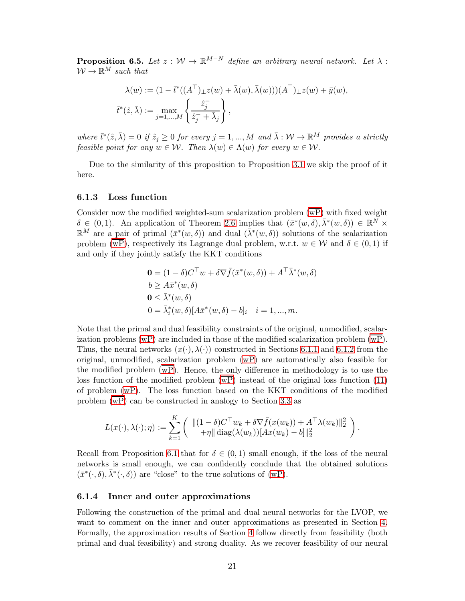**Proposition 6.5.** Let  $z : W \to \mathbb{R}^{M-N}$  define an arbitrary neural network. Let  $\lambda$ :  $W \to \mathbb{R}^M$  such that

$$
\lambda(w) := (1 - \bar{t}^*((A^\top)_\perp z(w) + \bar{\lambda}(w), \bar{\lambda}(w)))(A^\top)_\perp z(w) + \bar{y}(w),
$$
  

$$
\bar{t}^*(\hat{z}, \bar{\lambda}) := \max_{j=1,\dots,M} \left\{ \frac{\hat{z}_j^-}{\hat{z}_j^- + \bar{\lambda}_j} \right\},
$$

where  $\bar{t}^*(\hat{z}, \bar{\lambda}) = 0$  if  $\hat{z}_j \geq 0$  for every  $j = 1, ..., M$  and  $\bar{\lambda}: \mathcal{W} \to \mathbb{R}^M$  provides a strictly feasible point for any  $w \in \mathcal{W}$ . Then  $\lambda(w) \in \Lambda(w)$  for every  $w \in \mathcal{W}$ .

Due to the similarity of this proposition to Proposition [3.1](#page-7-1) we skip the proof of it here.

#### 6.1.3 Loss function

Consider now the modified weighted-sum scalarization problem  $(\overline{wP})$  with fixed weight  $\delta \in (0,1)$ . An application of Theorem [2.6](#page-4-6) implies that  $(\bar{x}^*(w,\delta), \bar{\lambda}^*(w,\delta)) \in \mathbb{R}^N$  ×  $\mathbb{R}^M$  are a pair of primal  $(\bar{x}^*(w,\delta))$  and dual  $(\bar{\lambda}^*(w,\delta))$  solutions of the scalarization problem  $(\overline{wP})$ , respectively its Lagrange dual problem, w.r.t.  $w \in W$  and  $\delta \in (0,1)$  if and only if they jointly satisfy the KKT conditions

$$
0 = (1 - \delta)C^{\top}w + \delta \nabla \bar{f}(\bar{x}^*(w, \delta)) + A^{\top} \bar{\lambda}^*(w, \delta)
$$
  
\n
$$
b \geq A\bar{x}^*(w, \delta)
$$
  
\n
$$
0 \leq \bar{\lambda}^*(w, \delta)
$$
  
\n
$$
0 = \bar{\lambda}_i^*(w, \delta)[A\bar{x}^*(w, \delta) - b]_i \quad i = 1, ..., m.
$$

Note that the primal and dual feasibility constraints of the original, unmodified, scalarization problems  $(wP)$  are included in those of the modified scalarization problem  $(wP)$ . Thus, the neural networks  $(x(\cdot), \lambda(\cdot))$  constructed in Sections [6.1.1](#page-18-2) and [6.1.2](#page-19-0) from the original, unmodified, scalarization problem [\(wP\)](#page-2-3) are automatically also feasible for the modified problem [\(wP\)](#page-17-0). Hence, the only difference in methodology is to use the loss function of the modified problem  $(\overline{wP})$  instead of the original loss function [\(11\)](#page-8-1) of problem [\(wP\)](#page-2-3). The loss function based on the KKT conditions of the modified problem  $\overline{(wP)}$  can be constructed in analogy to Section [3.3](#page-8-0) as

$$
L(x(\cdot),\lambda(\cdot);\eta) := \sum_{k=1}^K \left( \begin{array}{c} \|(1-\delta)C^\top w_k + \delta \nabla \bar{f}(x(w_k)) + A^\top \lambda(w_k) \|_2^2 \\ + \eta \|\operatorname{diag}(\lambda(w_k)) [Ax(w_k) - b] \|_2^2 \end{array} \right).
$$

Recall from Proposition [6.1](#page-17-1) that for  $\delta \in (0,1)$  small enough, if the loss of the neural networks is small enough, we can confidently conclude that the obtained solutions  $(\bar{x}^*(\cdot,\delta),\bar{\lambda}^*(\cdot,\delta))$  are "close" to the true solutions of [\(wP\)](#page-2-3).

#### 6.1.4 Inner and outer approximations

Following the construction of the primal and dual neural networks for the LVOP, we want to comment on the inner and outer approximations as presented in Section [4.](#page-9-0) Formally, the approximation results of Section [4](#page-9-0) follow directly from feasibility (both primal and dual feasibility) and strong duality. As we recover feasibility of our neural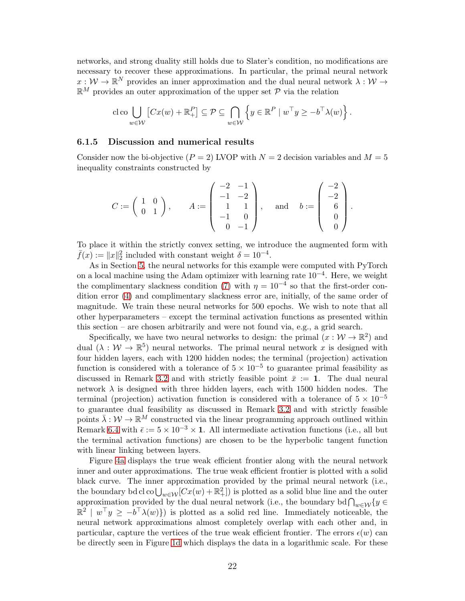networks, and strong duality still holds due to Slater's condition, no modifications are necessary to recover these approximations. In particular, the primal neural network  $x: \mathcal{W} \to \mathbb{R}^N$  provides an inner approximation and the dual neural network  $\lambda: \mathcal{W} \to$  $\mathbb{R}^M$  provides an outer approximation of the upper set  $\mathcal P$  via the relation

$$
\operatorname{cloc} \bigcup_{w \in \mathcal{W}} \left[ Cx(w) + \mathbb{R}^P_+ \right] \subseteq \mathcal{P} \subseteq \bigcap_{w \in \mathcal{W}} \left\{ y \in \mathbb{R}^P \mid w^\top y \geq -b^\top \lambda(w) \right\}.
$$

#### 6.1.5 Discussion and numerical results

Consider now the bi-objective  $(P = 2)$  LVOP with  $N = 2$  decision variables and  $M = 5$ inequality constraints constructed by

$$
C := \begin{pmatrix} 1 & 0 \\ 0 & 1 \end{pmatrix}, \quad A := \begin{pmatrix} -2 & -1 \\ -1 & -2 \\ 1 & 1 \\ -1 & 0 \\ 0 & -1 \end{pmatrix}, \quad \text{and} \quad b := \begin{pmatrix} -2 \\ -2 \\ 6 \\ 0 \\ 0 \end{pmatrix}.
$$

To place it within the strictly convex setting, we introduce the augmented form with  $\bar{f}(x) := \|x\|_2^2$  included with constant weight  $\delta = 10^{-4}$ .

As in Section [5,](#page-11-0) the neural networks for this example were computed with PyTorch on a local machine using the Adam optimizer with learning rate 10−<sup>4</sup> . Here, we weight the complimentary slackness condition [\(7\)](#page-4-3) with  $\eta = 10^{-4}$  so that the first-order condition error [\(4\)](#page-4-2) and complimentary slackness error are, initially, of the same order of magnitude. We train these neural networks for 500 epochs. We wish to note that all other hyperparameters – except the terminal activation functions as presented within this section – are chosen arbitrarily and were not found via, e.g., a grid search.

Specifically, we have two neural networks to design: the primal  $(x : \mathcal{W} \to \mathbb{R}^2)$  and dual  $(\lambda : \mathcal{W} \to \mathbb{R}^5)$  neural networks. The primal neural network x is designed with four hidden layers, each with 1200 hidden nodes; the terminal (projection) activation function is considered with a tolerance of  $5 \times 10^{-5}$  to guarantee primal feasibility as discussed in Remark [3.2](#page-7-3) and with strictly feasible point  $\bar{x} := 1$ . The dual neural network  $\lambda$  is designed with three hidden layers, each with 1500 hidden nodes. The terminal (projection) activation function is considered with a tolerance of  $5 \times 10^{-5}$ to guarantee dual feasibility as discussed in Remark [3.2](#page-7-3) and with strictly feasible points  $\bar{\lambda}: \mathcal{W} \to \mathbb{R}^M$  constructed via the linear programming approach outlined within Remark [6.4](#page-19-2) with  $\bar{\epsilon} := 5 \times 10^{-3} \times 1$ . All intermediate activation functions (i.e., all but the terminal activation functions) are chosen to be the hyperbolic tangent function with linear linking between layers.

Figure [4a](#page-22-1) displays the true weak efficient frontier along with the neural network inner and outer approximations. The true weak efficient frontier is plotted with a solid black curve. The inner approximation provided by the primal neural network (i.e., the boundary bd cl co  $\bigcup_{w \in \mathcal{W}}[Cx(w) + \mathbb{R}^2_+]$  is plotted as a solid blue line and the outer approximation provided by the dual neural network (i.e., the boundary bd  $\bigcap_{w \in \mathcal{W}} \{y \in \mathbb{R}^3 \mid \mathbb{R}^3 \leq \mathbb{R}^3 \mid \mathbb{R}^3 \leq \mathbb{R}^3 \}$  $\mathbb{R}^2 \mid w^\top y \geq -b^\top \lambda(w)$  is plotted as a solid red line. Immediately noticeable, the neural network approximations almost completely overlap with each other and, in particular, capture the vertices of the true weak efficient frontier. The errors  $\epsilon(w)$  can be directly seen in Figure [1d](#page-12-0) which displays the data in a logarithmic scale. For these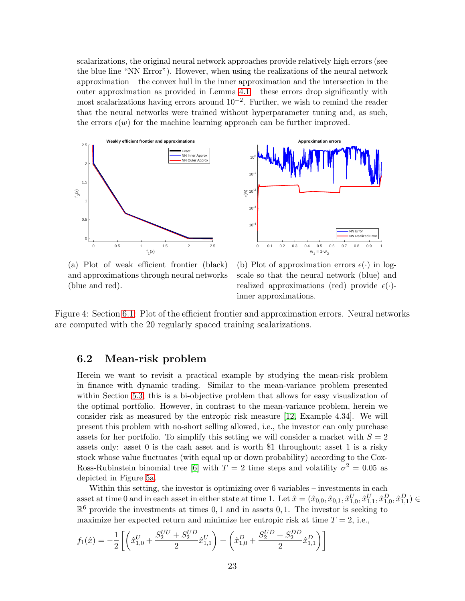scalarizations, the original neural network approaches provide relatively high errors (see the blue line "NN Error"). However, when using the realizations of the neural network approximation – the convex hull in the inner approximation and the intersection in the outer approximation as provided in Lemma [4.1](#page-9-1) – these errors drop significantly with most scalarizations having errors around 10−<sup>2</sup> . Further, we wish to remind the reader that the neural networks were trained without hyperparameter tuning and, as such, the errors  $\epsilon(w)$  for the machine learning approach can be further improved.

<span id="page-22-1"></span>

(a) Plot of weak efficient frontier (black) and approximations through neural networks (blue and red).

(b) Plot of approximation errors  $\epsilon(\cdot)$  in logscale so that the neural network (blue) and realized approximations (red) provide  $\epsilon(\cdot)$ inner approximations.

Figure 4: Section [6.1:](#page-18-0) Plot of the efficient frontier and approximation errors. Neural networks are computed with the 20 regularly spaced training scalarizations.

### <span id="page-22-0"></span>6.2 Mean-risk problem

Herein we want to revisit a practical example by studying the mean-risk problem in finance with dynamic trading. Similar to the mean-variance problem presented within Section [5.3,](#page-15-0) this is a bi-objective problem that allows for easy visualization of the optimal portfolio. However, in contrast to the mean-variance problem, herein we consider risk as measured by the entropic risk measure [\[12,](#page-25-12) Example 4.34]. We will present this problem with no-short selling allowed, i.e., the investor can only purchase assets for her portfolio. To simplify this setting we will consider a market with  $S = 2$ assets only: asset 0 is the cash asset and is worth \$1 throughout; asset 1 is a risky stock whose value fluctuates (with equal up or down probability) according to the Cox-Ross-Rubinstein binomial tree [\[6\]](#page-25-13) with  $T = 2$  time steps and volatility  $\sigma^2 = 0.05$  as depicted in Figure [5a.](#page-24-0)

Within this setting, the investor is optimizing over 6 variables – investments in each asset at time 0 and in each asset in either state at time 1. Let  $\hat{x} = (\hat{x}_{0,0}, \hat{x}_{0,1}, \hat{x}_{1,0}^U, \hat{x}_{1,1}^U, \hat{x}_{1,0}^D, \hat{x}_{1,1}^D) \in$  $\mathbb{R}^6$  provide the investments at times 0, 1 and in assets 0, 1. The investor is seeking to maximize her expected return and minimize her entropic risk at time  $T = 2$ , i.e.,

$$
f_1(\hat{x}) = -\frac{1}{2} \left[ \left( \hat{x}_{1,0}^U + \frac{S_2^{UU} + S_2^{UD}}{2} \hat{x}_{1,1}^U \right) + \left( \hat{x}_{1,0}^D + \frac{S_2^{UD} + S_2^{DD}}{2} \hat{x}_{1,1}^D \right) \right]
$$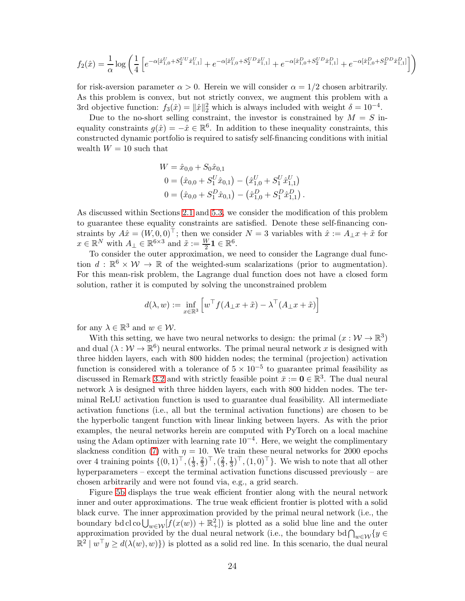$$
f_2(\hat{x}) = \frac{1}{\alpha} \log \left( \frac{1}{4} \left[ e^{-\alpha [\hat{x}_{1,0}^{U} + S_2^{UU}\hat{x}_{1,1}^U]} + e^{-\alpha [\hat{x}_{1,0}^{U} + S_2^{UD}\hat{x}_{1,1}^U]} + e^{-\alpha [\hat{x}_{1,0}^{D} + S_2^{UD}\hat{x}_{1,1}^D]} + e^{-\alpha [\hat{x}_{1,0}^{D} + S_2^{DD}\hat{x}_{1,1}^D]} \right) \right)
$$

for risk-aversion parameter  $\alpha > 0$ . Herein we will consider  $\alpha = 1/2$  chosen arbitrarily. As this problem is convex, but not strictly convex, we augment this problem with a 3rd objective function:  $f_3(\hat{x}) = ||\hat{x}||_2^2$  which is always included with weight  $\delta = 10^{-4}$ .

Due to the no-short selling constraint, the investor is constrained by  $M = S$  inequality constraints  $g(\hat{x}) = -\hat{x} \in \mathbb{R}^6$ . In addition to these inequality constraints, this constructed dynamic portfolio is required to satisfy self-financing conditions with initial wealth  $W = 10$  such that

$$
W = \hat{x}_{0,0} + S_0 \hat{x}_{0,1}
$$
  
\n
$$
0 = (\hat{x}_{0,0} + S_1^U \hat{x}_{0,1}) - (\hat{x}_{1,0}^U + S_1^U \hat{x}_{1,1}^U)
$$
  
\n
$$
0 = (\hat{x}_{0,0} + S_1^D \hat{x}_{0,1}) - (\hat{x}_{1,0}^D + S_1^D \hat{x}_{1,1}^D).
$$

As discussed within Sections [2.1](#page-2-0) and [5.3,](#page-15-0) we consider the modification of this problem to guarantee these equality constraints are satisfied. Denote these self-financing constraints by  $A\hat{x} = (W, 0, 0)^\top$ ; then we consider  $N = 3$  variables with  $\hat{x} := A_\perp x + \tilde{x}$  for  $x \in \mathbb{R}^N$  with  $A_{\perp} \in \mathbb{R}^{6 \times 3}$  and  $\tilde{x} := \frac{W}{2} \mathbf{1} \in \mathbb{R}^6$ .

To consider the outer approximation, we need to consider the Lagrange dual function  $d : \mathbb{R}^6 \times \mathcal{W} \to \mathbb{R}$  of the weighted-sum scalarizations (prior to augmentation). For this mean-risk problem, the Lagrange dual function does not have a closed form solution, rather it is computed by solving the unconstrained problem

$$
d(\lambda, w) := \inf_{x \in \mathbb{R}^3} \left[ w^\top f(A_\perp x + \tilde{x}) - \lambda^\top (A_\perp x + \tilde{x}) \right]
$$

for any  $\lambda \in \mathbb{R}^3$  and  $w \in \mathcal{W}$ .

With this setting, we have two neural networks to design: the primal  $(x : \mathcal{W} \to \mathbb{R}^3)$ and dual  $(\lambda : \mathcal{W} \to \mathbb{R}^6)$  neural entworks. The primal neural network x is designed with three hidden layers, each with 800 hidden nodes; the terminal (projection) activation function is considered with a tolerance of  $5 \times 10^{-5}$  to guarantee primal feasibility as discussed in Remark [3.2](#page-7-3) and with strictly feasible point  $\bar{x} := \mathbf{0} \in \mathbb{R}^3$ . The dual neural network  $\lambda$  is designed with three hidden layers, each with 800 hidden nodes. The terminal ReLU activation function is used to guarantee dual feasibility. All intermediate activation functions (i.e., all but the terminal activation functions) are chosen to be the hyperbolic tangent function with linear linking between layers. As with the prior examples, the neural networks herein are computed with PyTorch on a local machine using the Adam optimizer with learning rate  $10^{-4}$ . Here, we weight the complimentary slackness condition [\(7\)](#page-4-3) with  $\eta = 10$ . We train these neural networks for 2000 epochs over 4 training points  $\{(0,1)^\top, (\frac{1}{3})^\top\}$  $\frac{1}{3}, \frac{2}{3}$  $(\frac{2}{3})^{\top}, (\frac{2}{3})^{\top}$  $\frac{2}{3}, \frac{1}{3}$  $\frac{1}{3}$ ,  $(1,0)$  }. We wish to note that all other hyperparameters – except the terminal activation functions discussed previously – are chosen arbitrarily and were not found via, e.g., a grid search.

Figure [5b](#page-24-0) displays the true weak efficient frontier along with the neural network inner and outer approximations. The true weak efficient frontier is plotted with a solid black curve. The inner approximation provided by the primal neural network (i.e., the boundary bd cl co  $\bigcup_{w\in\mathcal{W}}[f(x(w))+\mathbb{R}^2_+]$  is plotted as a solid blue line and the outer approximation provided by the dual neural network (i.e., the boundary bd  $\bigcap_{w \in \mathcal{W}} \{y \in \mathbb{R}^3 \mid \mathbb{R}^3 \mid \mathbb{R}^3 \mid \mathbb{R}^3 \leq \mathbb{R}^3\}$  $\mathbb{R}^2 \mid w^\top y \ge d(\lambda(w), w)$  is plotted as a solid red line. In this scenario, the dual neural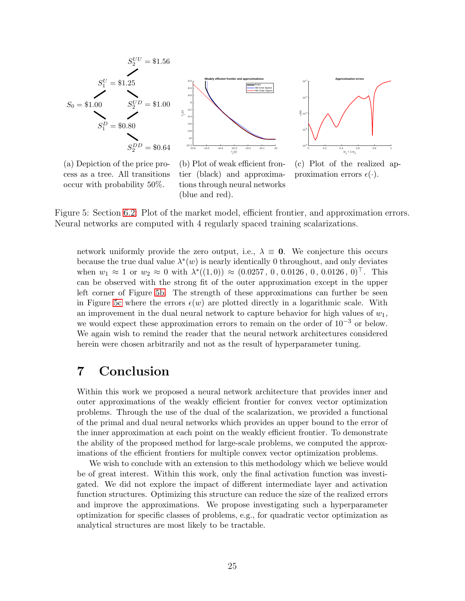<span id="page-24-0"></span>

0 0.2 0.4 0.6 0.8 1<br> $w_1 = 1-w_2$ 10-5 10-4  $10^{-3}$  $10^{-2}$ 10-1  $\widehat{\bm{z}}$ **Approximation errors**

(a) Depiction of the price process as a tree. All transitions occur with probability 50%.

(b) Plot of weak efficient frontier (black) and approximations through neural networks (blue and red).

(c) Plot of the realized approximation errors  $\epsilon(\cdot)$ .

Figure 5: Section [6.2:](#page-22-0) Plot of the market model, efficient frontier, and approximation errors. Neural networks are computed with 4 regularly spaced training scalarizations.

network uniformly provide the zero output, i.e.,  $\lambda \equiv 0$ . We conjecture this occurs because the true dual value  $\lambda^*(w)$  is nearly identically 0 throughout, and only deviates when  $w_1 \approx 1$  or  $w_2 \approx 0$  with  $\lambda^*((1,0)) \approx (0.0257, 0, 0.0126, 0, 0.0126, 0)^\top$ . This can be observed with the strong fit of the outer approximation except in the upper left corner of Figure [5b.](#page-24-0) The strength of these approximations can further be seen in Figure [5c](#page-24-0) where the errors  $\epsilon(w)$  are plotted directly in a logarithmic scale. With an improvement in the dual neural network to capture behavior for high values of  $w_1$ , we would expect these approximation errors to remain on the order of  $10^{-3}$  or below. We again wish to remind the reader that the neural network architectures considered herein were chosen arbitrarily and not as the result of hyperparameter tuning.

## 7 Conclusion

Within this work we proposed a neural network architecture that provides inner and outer approximations of the weakly efficient frontier for convex vector optimization problems. Through the use of the dual of the scalarization, we provided a functional of the primal and dual neural networks which provides an upper bound to the error of the inner approximation at each point on the weakly efficient frontier. To demonstrate the ability of the proposed method for large-scale problems, we computed the approximations of the efficient frontiers for multiple convex vector optimization problems.

We wish to conclude with an extension to this methodology which we believe would be of great interest. Within this work, only the final activation function was investigated. We did not explore the impact of different intermediate layer and activation function structures. Optimizing this structure can reduce the size of the realized errors and improve the approximations. We propose investigating such a hyperparameter optimization for specific classes of problems, e.g., for quadratic vector optimization as analytical structures are most likely to be tractable.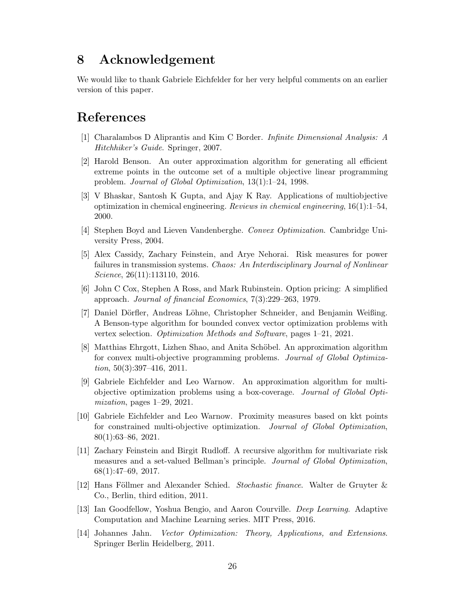# 8 Acknowledgement

We would like to thank Gabriele Eichfelder for her very helpful comments on an earlier version of this paper.

# <span id="page-25-11"></span>References

- <span id="page-25-3"></span>[1] Charalambos D Aliprantis and Kim C Border. Infinite Dimensional Analysis: A Hitchhiker's Guide. Springer, 2007.
- [2] Harold Benson. An outer approximation algorithm for generating all efficient extreme points in the outcome set of a multiple objective linear programming problem. Journal of Global Optimization, 13(1):1–24, 1998.
- <span id="page-25-2"></span>[3] V Bhaskar, Santosh K Gupta, and Ajay K Ray. Applications of multiobjective optimization in chemical engineering. Reviews in chemical engineering,  $16(1):1-54$ , 2000.
- <span id="page-25-8"></span><span id="page-25-1"></span>[4] Stephen Boyd and Lieven Vandenberghe. Convex Optimization. Cambridge University Press, 2004.
- [5] Alex Cassidy, Zachary Feinstein, and Arye Nehorai. Risk measures for power failures in transmission systems. Chaos: An Interdisciplinary Journal of Nonlinear Science, 26(11):113110, 2016.
- <span id="page-25-13"></span><span id="page-25-5"></span>[6] John C Cox, Stephen A Ross, and Mark Rubinstein. Option pricing: A simplified approach. Journal of financial Economics, 7(3):229–263, 1979.
- [7] Daniel Dörfler, Andreas Löhne, Christopher Schneider, and Benjamin Weißing. A Benson-type algorithm for bounded convex vector optimization problems with vertex selection. Optimization Methods and Software, pages 1–21, 2021.
- <span id="page-25-4"></span>[8] Matthias Ehrgott, Lizhen Shao, and Anita Schöbel. An approximation algorithm for convex multi-objective programming problems. Journal of Global Optimization,  $50(3):397-416$ ,  $2011$ .
- <span id="page-25-10"></span>[9] Gabriele Eichfelder and Leo Warnow. An approximation algorithm for multiobjective optimization problems using a box-coverage. Journal of Global Optimization, pages 1–29, 2021.
- <span id="page-25-7"></span>[10] Gabriele Eichfelder and Leo Warnow. Proximity measures based on kkt points for constrained multi-objective optimization. Journal of Global Optimization, 80(1):63–86, 2021.
- <span id="page-25-0"></span>[11] Zachary Feinstein and Birgit Rudloff. A recursive algorithm for multivariate risk measures and a set-valued Bellman's principle. Journal of Global Optimization, 68(1):47–69, 2017.
- <span id="page-25-12"></span>[12] Hans Föllmer and Alexander Schied. Stochastic finance. Walter de Gruyter & Co., Berlin, third edition, 2011.
- <span id="page-25-9"></span>[13] Ian Goodfellow, Yoshua Bengio, and Aaron Courville. Deep Learning. Adaptive Computation and Machine Learning series. MIT Press, 2016.
- <span id="page-25-6"></span>[14] Johannes Jahn. Vector Optimization: Theory, Applications, and Extensions. Springer Berlin Heidelberg, 2011.